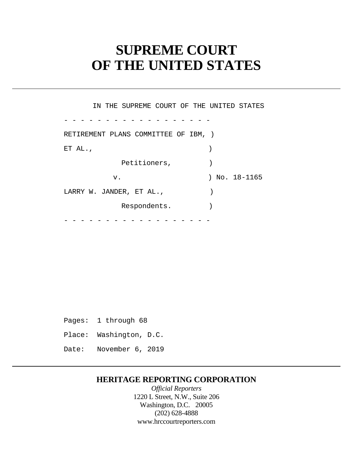# **SUPREME COURT OF THE UNITED STATES**

 - - - - - - - - - - - - - - - - - - - - - - - - - - - - - - - - - - - - IN THE SUPREME COURT OF THE UNITED STATES RETIREMENT PLANS COMMITTEE OF IBM, ) ET AL.,  $\qquad \qquad$ Petitioners,  $)$ v. ) No. 18-1165 LARRY W. JANDER, ET AL., (1988) Respondents. )

Pages: 1 through 68 Place: Washington, D.C. Date: November 6, 2019

## **HERITAGE REPORTING CORPORATION**

*Official Reporters*  1220 L Street, N.W., Suite 206 Washington, D.C. 20005 (202) 628-4888 <www.hrccourtreporters.com>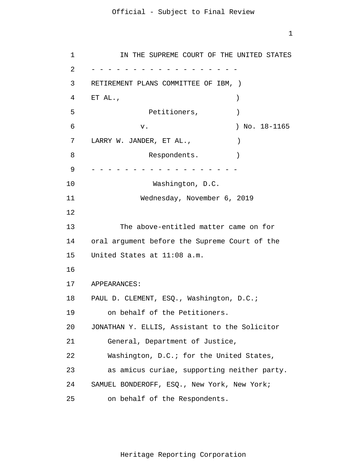1

```
1 
 \overline{2}3 
 4 
 5 
6 
7 
8 
9 
10 
11 
12
13 
14 
15 
16
17 
18 
19 
20 
21 
22 
23 
24 
25 
      - - - - - - - - - - - - - - - - - -
      - - - - - - - - - - - - - - - - - -
            IN THE SUPREME COURT OF THE UNITED STATES 
     RETIREMENT PLANS COMMITTEE OF IBM, ) 
     ET AL., \qquad \qquadPetitioners, )v. ) No. 18-1165 
     LARRY W. JANDER, ET AL., \qquad \qquadRespondents.
                    Washington, D.C. 
                  Wednesday, November 6, 2019 
             The above-entitled matter came on for 
     oral argument before the Supreme Court of the 
     United States at 11:08 a.m. 
     APPEARANCES: 
     PAUL D. CLEMENT, ESQ., Washington, D.C.;
         on behalf of the Petitioners. 
     JONATHAN Y. ELLIS, Assistant to the Solicitor 
         General, Department of Justice, 
         Washington, D.C.; for the United States, 
         as amicus curiae, supporting neither party. 
     SAMUEL BONDEROFF, ESQ., New York, New York; 
         on behalf of the Respondents.
```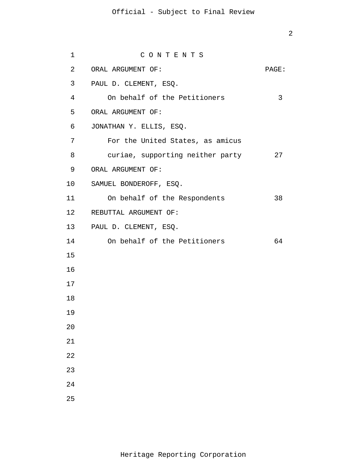| $\mathbf 1$    | CONTENTS                         |       |
|----------------|----------------------------------|-------|
| 2              | ORAL ARGUMENT OF:                | PAGE: |
| 3 <sup>7</sup> | PAUL D. CLEMENT, ESQ.            |       |
| $\overline{4}$ | On behalf of the Petitioners     | 3     |
| 5              | ORAL ARGUMENT OF:                |       |
| 6              | JONATHAN Y. ELLIS, ESQ.          |       |
| 7              | For the United States, as amicus |       |
| 8              | curiae, supporting neither party | 27    |
| 9              | ORAL ARGUMENT OF:                |       |
| 10             | SAMUEL BONDEROFF, ESQ.           |       |
| 11             | On behalf of the Respondents     | 38    |
|                | 12 REBUTTAL ARGUMENT OF:         |       |
|                | 13 PAUL D. CLEMENT, ESQ.         |       |
| 14             | On behalf of the Petitioners     | 64    |
| 15             |                                  |       |
| 16             |                                  |       |
| 17             |                                  |       |
| 18             |                                  |       |
| 19             |                                  |       |
| 20             |                                  |       |
| 21             |                                  |       |
| 22             |                                  |       |
| 23             |                                  |       |
| 24             |                                  |       |
| 25             |                                  |       |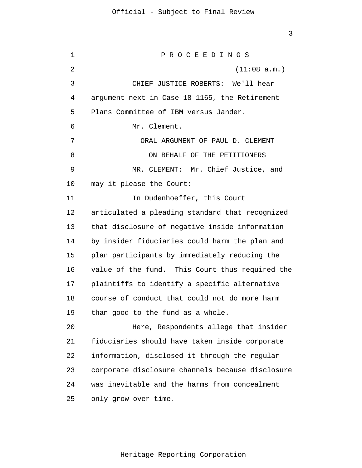1  $\overline{2}$ 3 4 5 6 7 8 9 10 11 12 13 14 15 16 17 18 19 20 21 22 23 24 25 P R O C E E D I N G S (11:08 a.m.) CHIEF JUSTICE ROBERTS: We'll hear argument next in Case 18-1165, the Retirement Plans Committee of IBM versus Jander. Mr. Clement. ORAL ARGUMENT OF PAUL D. CLEMENT ON BEHALF OF THE PETITIONERS MR. CLEMENT: Mr. Chief Justice, and may it please the Court: In Dudenhoeffer, this Court articulated a pleading standard that recognized that disclosure of negative inside information by insider fiduciaries could harm the plan and plan participants by immediately reducing the value of the fund. This Court thus required the plaintiffs to identify a specific alternative course of conduct that could not do more harm than good to the fund as a whole. Here, Respondents allege that insider fiduciaries should have taken inside corporate information, disclosed it through the regular corporate disclosure channels because disclosure was inevitable and the harms from concealment only grow over time.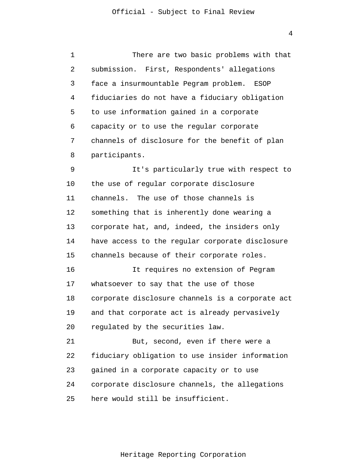1  $\overline{2}$ 3 4 5 6 7 8 9 10 11 12 13 14 15 16 17 18 19 20 21 22 23 24 25 There are two basic problems with that submission. First, Respondents' allegations face a insurmountable Pegram problem. ESOP fiduciaries do not have a fiduciary obligation to use information gained in a corporate capacity or to use the regular corporate channels of disclosure for the benefit of plan participants. It's particularly true with respect to the use of regular corporate disclosure channels. The use of those channels is something that is inherently done wearing a corporate hat, and, indeed, the insiders only have access to the regular corporate disclosure channels because of their corporate roles. It requires no extension of Pegram whatsoever to say that the use of those corporate disclosure channels is a corporate act and that corporate act is already pervasively regulated by the securities law. But, second, even if there were a fiduciary obligation to use insider information gained in a corporate capacity or to use corporate disclosure channels, the allegations here would still be insufficient.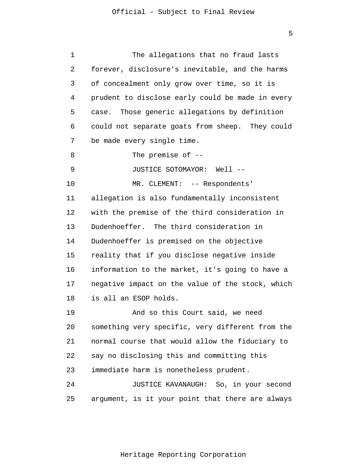| 1  | The allegations that no fraud lasts              |
|----|--------------------------------------------------|
| 2  | forever, disclosure's inevitable, and the harms  |
| 3  | of concealment only grow over time, so it is     |
| 4  | prudent to disclose early could be made in every |
| 5  | case. Those generic allegations by definition    |
| 6  | could not separate goats from sheep. They could  |
| 7  | be made every single time.                       |
| 8  | The premise of $-$ -                             |
| 9  | JUSTICE SOTOMAYOR: Well --                       |
| 10 | MR. CLEMENT: -- Respondents'                     |
| 11 | allegation is also fundamentally inconsistent    |
| 12 | with the premise of the third consideration in   |
| 13 | Dudenhoeffer. The third consideration in         |
| 14 | Dudenhoeffer is premised on the objective        |
| 15 | reality that if you disclose negative inside     |
| 16 | information to the market, it's going to have a  |
| 17 | negative impact on the value of the stock, which |
| 18 | is all an ESOP holds.                            |
| 19 | And so this Court said, we need                  |
| 20 | something very specific, very different from the |
| 21 | normal course that would allow the fiduciary to  |
| 22 | say no disclosing this and committing this       |
| 23 | immediate harm is nonetheless prudent.           |
| 24 | JUSTICE KAVANAUGH: So, in your second            |
| 25 | argument, is it your point that there are always |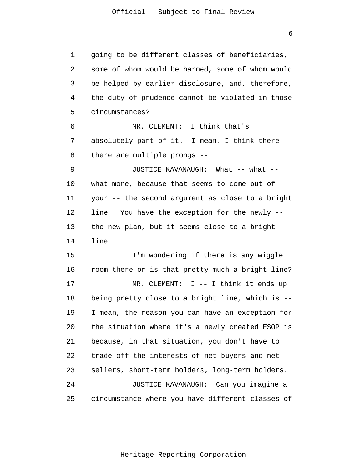6

1 2 3 4 5 6 7 8 9 10 11 12 13 14 15 16 17 18 19 20 21 22 23 24 25 going to be different classes of beneficiaries, some of whom would be harmed, some of whom would be helped by earlier disclosure, and, therefore, the duty of prudence cannot be violated in those circumstances? MR. CLEMENT: I think that's absolutely part of it. I mean, I think there - there are multiple prongs -- JUSTICE KAVANAUGH: What -- what - what more, because that seems to come out of your -- the second argument as close to a bright line. You have the exception for the newly - the new plan, but it seems close to a bright line. I'm wondering if there is any wiggle room there or is that pretty much a bright line? MR. CLEMENT: I -- I think it ends up being pretty close to a bright line, which is -- I mean, the reason you can have an exception for the situation where it's a newly created ESOP is because, in that situation, you don't have to trade off the interests of net buyers and net sellers, short-term holders, long-term holders. JUSTICE KAVANAUGH: Can you imagine a circumstance where you have different classes of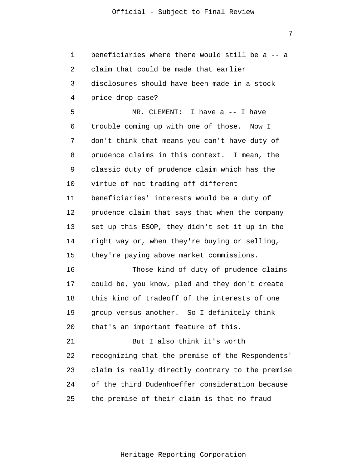7

1 2 3 4 5 6 7 8 9 10 11 12 13 14 15 16 17 18 19 20 21 22 23 24 25 beneficiaries where there would still be a -- a claim that could be made that earlier disclosures should have been made in a stock price drop case? MR. CLEMENT: I have a -- I have trouble coming up with one of those. Now I don't think that means you can't have duty of prudence claims in this context. I mean, the classic duty of prudence claim which has the virtue of not trading off different beneficiaries' interests would be a duty of prudence claim that says that when the company set up this ESOP, they didn't set it up in the right way or, when they're buying or selling, they're paying above market commissions. Those kind of duty of prudence claims could be, you know, pled and they don't create this kind of tradeoff of the interests of one group versus another. So I definitely think that's an important feature of this. But I also think it's worth recognizing that the premise of the Respondents' claim is really directly contrary to the premise of the third Dudenhoeffer consideration because the premise of their claim is that no fraud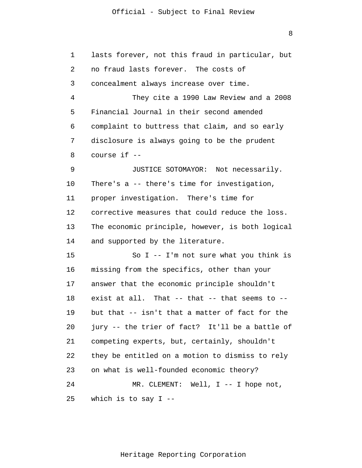8

| 1  | lasts forever, not this fraud in particular, but     |
|----|------------------------------------------------------|
| 2  | no fraud lasts forever. The costs of                 |
| 3  | concealment always increase over time.               |
| 4  | They cite a 1990 Law Review and a 2008               |
| 5  | Financial Journal in their second amended            |
| 6  | complaint to buttress that claim, and so early       |
| 7  | disclosure is always going to be the prudent         |
| 8  | course if --                                         |
| 9  | JUSTICE SOTOMAYOR: Not necessarily.                  |
| 10 | There's a -- there's time for investigation,         |
| 11 | proper investigation. There's time for               |
| 12 | corrective measures that could reduce the loss.      |
| 13 | The economic principle, however, is both logical     |
| 14 | and supported by the literature.                     |
| 15 | So I -- I'm not sure what you think is               |
| 16 | missing from the specifics, other than your          |
| 17 | answer that the economic principle shouldn't         |
| 18 | exist at all. That $--$ that $--$ that seems to $--$ |
| 19 | but that -- isn't that a matter of fact for the      |
| 20 | jury -- the trier of fact? It'll be a battle of      |
| 21 | competing experts, but, certainly, shouldn't         |
| 22 | they be entitled on a motion to dismiss to rely      |
| 23 | on what is well-founded economic theory?             |
| 24 | MR. CLEMENT: Well, I -- I hope not,                  |
| 25 | which is to say $I$ --                               |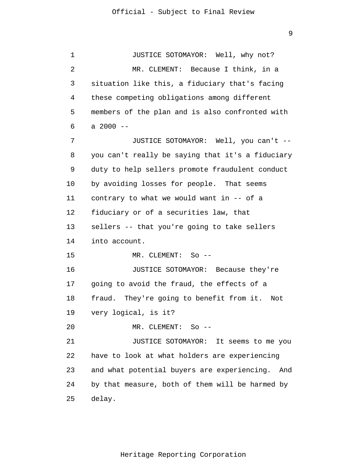1  $\overline{2}$ 3 4 5 6 7 8 9 10 11 12 13 14 15 16 17 18 19 20 21 22 23 24 25 JUSTICE SOTOMAYOR: Well, why not? MR. CLEMENT: Because I think, in a situation like this, a fiduciary that's facing these competing obligations among different members of the plan and is also confronted with a  $2000 -$ JUSTICE SOTOMAYOR: Well, you can't - you can't really be saying that it's a fiduciary duty to help sellers promote fraudulent conduct by avoiding losses for people. That seems contrary to what we would want in -- of a fiduciary or of a securities law, that sellers -- that you're going to take sellers into account. MR. CLEMENT: So -- JUSTICE SOTOMAYOR: Because they're going to avoid the fraud, the effects of a fraud. They're going to benefit from it. Not very logical, is it? MR. CLEMENT: So -- JUSTICE SOTOMAYOR: It seems to me you have to look at what holders are experiencing and what potential buyers are experiencing. And by that measure, both of them will be harmed by delay.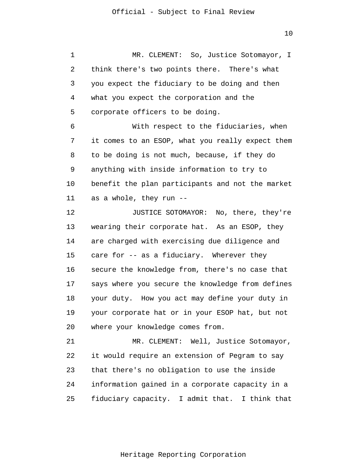1 2 3 4 5 6 7 8 9 10 11 12 13 14 15 16 17 18 19 20 21 22 23 24 25 MR. CLEMENT: So, Justice Sotomayor, I think there's two points there. There's what you expect the fiduciary to be doing and then what you expect the corporation and the corporate officers to be doing. With respect to the fiduciaries, when it comes to an ESOP, what you really expect them to be doing is not much, because, if they do anything with inside information to try to benefit the plan participants and not the market as a whole, they run -- JUSTICE SOTOMAYOR: No, there, they're wearing their corporate hat. As an ESOP, they are charged with exercising due diligence and care for -- as a fiduciary. Wherever they secure the knowledge from, there's no case that says where you secure the knowledge from defines your duty. How you act may define your duty in your corporate hat or in your ESOP hat, but not where your knowledge comes from. MR. CLEMENT: Well, Justice Sotomayor, it would require an extension of Pegram to say that there's no obligation to use the inside information gained in a corporate capacity in a fiduciary capacity. I admit that. I think that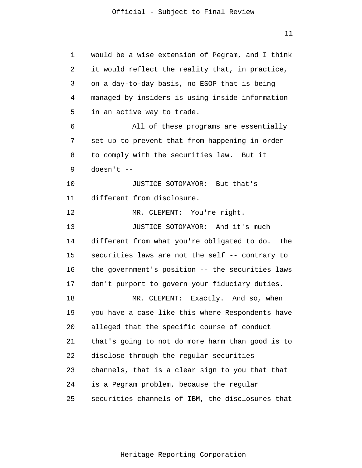1 2 3 4 5 6 7 8 9 10 11 12 13 14 15 16 17 18 19 20 21 22 23 24 25 would be a wise extension of Pegram, and I think it would reflect the reality that, in practice, on a day-to-day basis, no ESOP that is being managed by insiders is using inside information in an active way to trade. All of these programs are essentially set up to prevent that from happening in order to comply with the securities law. But it doesn't -- JUSTICE SOTOMAYOR: But that's different from disclosure. MR. CLEMENT: You're right. JUSTICE SOTOMAYOR: And it's much different from what you're obligated to do. The securities laws are not the self -- contrary to the government's position -- the securities laws don't purport to govern your fiduciary duties. MR. CLEMENT: Exactly. And so, when you have a case like this where Respondents have alleged that the specific course of conduct that's going to not do more harm than good is to disclose through the regular securities channels, that is a clear sign to you that that is a Pegram problem, because the regular securities channels of IBM, the disclosures that

11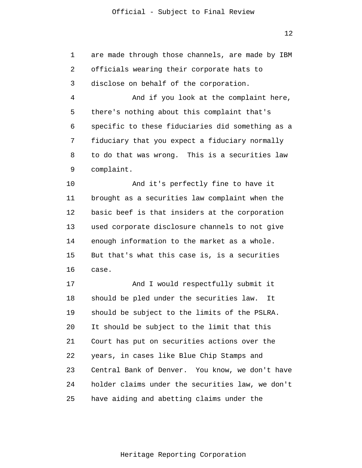1  $\overline{2}$ 3 4 5 6 7 8 9 10 11 12 13 14 15 16 17 18 19 20 21 22 23 24 25 are made through those channels, are made by IBM officials wearing their corporate hats to disclose on behalf of the corporation. And if you look at the complaint here, there's nothing about this complaint that's specific to these fiduciaries did something as a fiduciary that you expect a fiduciary normally to do that was wrong. This is a securities law complaint. And it's perfectly fine to have it brought as a securities law complaint when the basic beef is that insiders at the corporation used corporate disclosure channels to not give enough information to the market as a whole. But that's what this case is, is a securities case. And I would respectfully submit it should be pled under the securities law. It should be subject to the limits of the PSLRA. It should be subject to the limit that this Court has put on securities actions over the years, in cases like Blue Chip Stamps and Central Bank of Denver. You know, we don't have holder claims under the securities law, we don't have aiding and abetting claims under the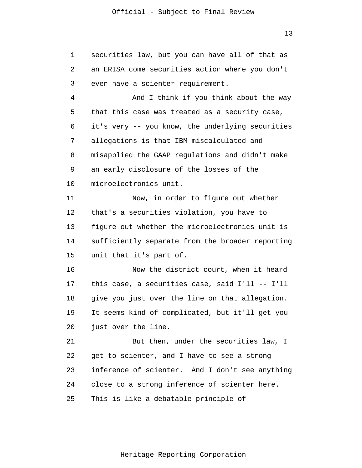1 2 3 4 5 6 7 8 9 10 11 12 13 14 15 16 17 18 19 20 21 22 23 24 25 securities law, but you can have all of that as an ERISA come securities action where you don't even have a scienter requirement. And I think if you think about the way that this case was treated as a security case, it's very -- you know, the underlying securities allegations is that IBM miscalculated and misapplied the GAAP regulations and didn't make an early disclosure of the losses of the microelectronics unit. Now, in order to figure out whether that's a securities violation, you have to figure out whether the microelectronics unit is sufficiently separate from the broader reporting unit that it's part of. Now the district court, when it heard this case, a securities case, said I'll -- I'll give you just over the line on that allegation. It seems kind of complicated, but it'll get you just over the line. But then, under the securities law, I get to scienter, and I have to see a strong inference of scienter. And I don't see anything close to a strong inference of scienter here. This is like a debatable principle of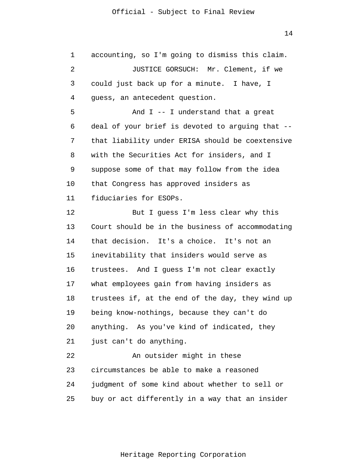1  $\overline{2}$ 3 4 5 6 7 8 9 10 11 12 13 14 15 16 17 18 19 20 21 22 23 24 25 accounting, so I'm going to dismiss this claim. JUSTICE GORSUCH: Mr. Clement, if we could just back up for a minute. I have, I guess, an antecedent question. And I -- I understand that a great deal of your brief is devoted to arguing that - that liability under ERISA should be coextensive with the Securities Act for insiders, and I suppose some of that may follow from the idea that Congress has approved insiders as fiduciaries for ESOPs. But I guess I'm less clear why this Court should be in the business of accommodating that decision. It's a choice. It's not an inevitability that insiders would serve as trustees. And I guess I'm not clear exactly what employees gain from having insiders as trustees if, at the end of the day, they wind up being know-nothings, because they can't do anything. As you've kind of indicated, they just can't do anything. An outsider might in these circumstances be able to make a reasoned judgment of some kind about whether to sell or buy or act differently in a way that an insider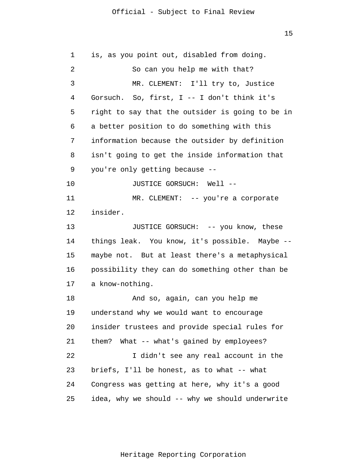15

1 2 3 4 5 6 7 8 9 10 11 12 13 14 15 16 17 18 19 20 21 22 23 24 25 is, as you point out, disabled from doing. So can you help me with that? MR. CLEMENT: I'll try to, Justice Gorsuch. So, first, I -- I don't think it's right to say that the outsider is going to be in a better position to do something with this information because the outsider by definition isn't going to get the inside information that you're only getting because -- JUSTICE GORSUCH: Well -- MR. CLEMENT: -- you're a corporate insider. JUSTICE GORSUCH: -- you know, these things leak. You know, it's possible. Maybe - maybe not. But at least there's a metaphysical possibility they can do something other than be a know-nothing. And so, again, can you help me understand why we would want to encourage insider trustees and provide special rules for them? What -- what's gained by employees? I didn't see any real account in the briefs, I'll be honest, as to what -- what Congress was getting at here, why it's a good idea, why we should -- why we should underwrite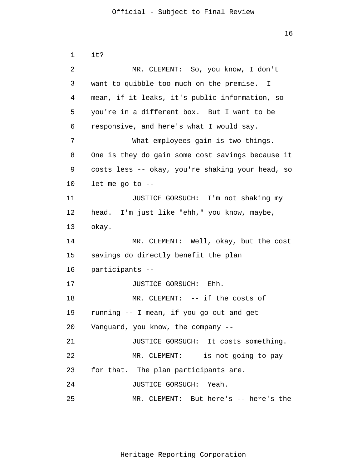```
1 
 \overline{2}3 
 4 
 5 
 6 
 7 
 8 
 9 
10 
11 
12 
13 
14 
15 
16 
17 
18 
19 
20 
21 
22 
23 
24 
25 
      it? 
                MR. CLEMENT: So, you know, I don't 
      want to quibble too much on the premise. I 
      mean, if it leaks, it's public information, so 
      you're in a different box. But I want to be 
      responsive, and here's what I would say. 
                What employees gain is two things. 
      One is they do gain some cost savings because it 
      costs less -- okay, you're shaking your head, so 
      let me go to --
                JUSTICE GORSUCH: I'm not shaking my 
      head. I'm just like "ehh," you know, maybe, 
      okay. 
                MR. CLEMENT: Well, okay, but the cost 
      savings do directly benefit the plan 
      participants --
                JUSTICE GORSUCH: Ehh. 
                MR. CLEMENT: -- if the costs of
      running -- I mean, if you go out and get 
      Vanguard, you know, the company --
                JUSTICE GORSUCH: It costs something. 
                MR. CLEMENT: -- is not going to pay
      for that. The plan participants are. 
                JUSTICE GORSUCH: Yeah. 
                MR. CLEMENT: But here's -- here's the
```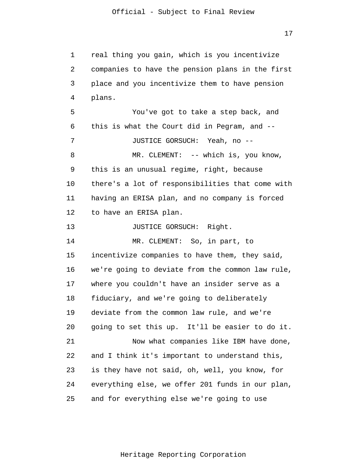1  $\overline{2}$ 3 4 5 6 7 8 9 10 11 12 13 14 15 16 17 18 19 20 21 22 23 24 25 real thing you gain, which is you incentivize companies to have the pension plans in the first place and you incentivize them to have pension plans. You've got to take a step back, and this is what the Court did in Pegram, and -- JUSTICE GORSUCH: Yeah, no -- MR. CLEMENT: -- which is, you know, this is an unusual regime, right, because there's a lot of responsibilities that come with having an ERISA plan, and no company is forced to have an ERISA plan. JUSTICE GORSUCH: Right. MR. CLEMENT: So, in part, to incentivize companies to have them, they said, we're going to deviate from the common law rule, where you couldn't have an insider serve as a fiduciary, and we're going to deliberately deviate from the common law rule, and we're going to set this up. It'll be easier to do it. Now what companies like IBM have done, and I think it's important to understand this, is they have not said, oh, well, you know, for everything else, we offer 201 funds in our plan, and for everything else we're going to use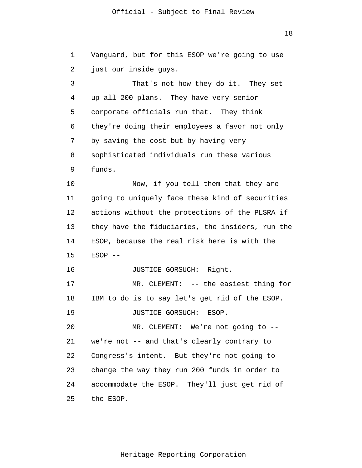18

1 2 3 4 5 6 7 8 9 10 11 12 13 14 15 16 17 18 19 20 21 22 23 24 25 Vanguard, but for this ESOP we're going to use just our inside guys. That's not how they do it. They set up all 200 plans. They have very senior corporate officials run that. They think they're doing their employees a favor not only by saving the cost but by having very sophisticated individuals run these various funds. Now, if you tell them that they are going to uniquely face these kind of securities actions without the protections of the PLSRA if they have the fiduciaries, the insiders, run the ESOP, because the real risk here is with the  $ESOP$  --JUSTICE GORSUCH: Right. MR. CLEMENT: -- the easiest thing for IBM to do is to say let's get rid of the ESOP. JUSTICE GORSUCH: ESOP. MR. CLEMENT: We're not going to - we're not -- and that's clearly contrary to Congress's intent. But they're not going to change the way they run 200 funds in order to accommodate the ESOP. They'll just get rid of the ESOP.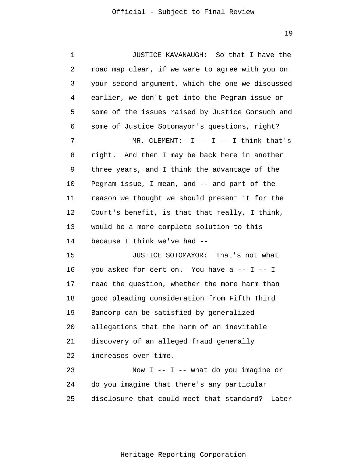1 2 3 4 5 6 7 8 9 10 11 12 13 14 15 16 17 18 19 20 21 22 23 24 25 JUSTICE KAVANAUGH: So that I have the road map clear, if we were to agree with you on your second argument, which the one we discussed earlier, we don't get into the Pegram issue or some of the issues raised by Justice Gorsuch and some of Justice Sotomayor's questions, right? MR. CLEMENT:  $I$  --  $I$  -- I think that's right. And then I may be back here in another three years, and I think the advantage of the Pegram issue, I mean, and -- and part of the reason we thought we should present it for the Court's benefit, is that that really, I think, would be a more complete solution to this because I think we've had -- JUSTICE SOTOMAYOR: That's not what you asked for cert on. You have a -- I -- I read the question, whether the more harm than good pleading consideration from Fifth Third Bancorp can be satisfied by generalized allegations that the harm of an inevitable discovery of an alleged fraud generally increases over time. Now  $I$  --  $I$  -- what do you imagine or do you imagine that there's any particular disclosure that could meet that standard? Later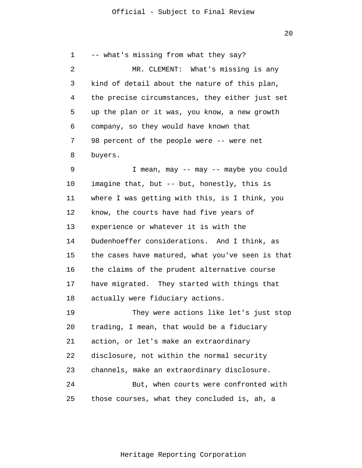20

1  $\overline{2}$ 3 4 5 6 7 8 9 10 11 12 13 14 15 16 17 18 19 20 21 22 23 24 25 -- what's missing from what they say? MR. CLEMENT: What's missing is any kind of detail about the nature of this plan, the precise circumstances, they either just set up the plan or it was, you know, a new growth company, so they would have known that 98 percent of the people were -- were net buyers. I mean, may -- may -- maybe you could imagine that, but -- but, honestly, this is where I was getting with this, is I think, you know, the courts have had five years of experience or whatever it is with the Dudenhoeffer considerations. And I think, as the cases have matured, what you've seen is that the claims of the prudent alternative course have migrated. They started with things that actually were fiduciary actions. They were actions like let's just stop trading, I mean, that would be a fiduciary action, or let's make an extraordinary disclosure, not within the normal security channels, make an extraordinary disclosure. But, when courts were confronted with those courses, what they concluded is, ah, a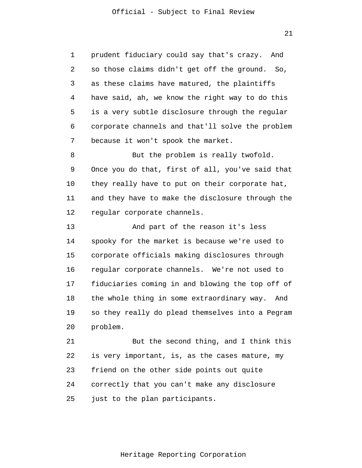1 2 3 4 5 6 7 prudent fiduciary could say that's crazy. And so those claims didn't get off the ground. So, as these claims have matured, the plaintiffs have said, ah, we know the right way to do this is a very subtle disclosure through the regular corporate channels and that'll solve the problem because it won't spook the market.

8 9 10 11 12 But the problem is really twofold. Once you do that, first of all, you've said that they really have to put on their corporate hat, and they have to make the disclosure through the regular corporate channels.

13 14 15 16 17 18 19 20 And part of the reason it's less spooky for the market is because we're used to corporate officials making disclosures through regular corporate channels. We're not used to fiduciaries coming in and blowing the top off of the whole thing in some extraordinary way. And so they really do plead themselves into a Pegram problem.

21 22 23 24 25 But the second thing, and I think this is very important, is, as the cases mature, my friend on the other side points out quite correctly that you can't make any disclosure just to the plan participants.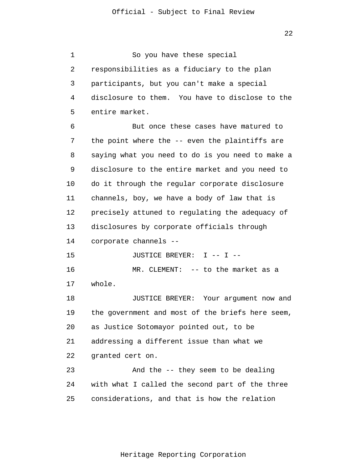1 2 3 4 5 6 7 8 9 10 11 12 13 14 15 16 17 18 19 20 21 22 23 24 25 So you have these special responsibilities as a fiduciary to the plan participants, but you can't make a special disclosure to them. You have to disclose to the entire market. But once these cases have matured to the point where the -- even the plaintiffs are saying what you need to do is you need to make a disclosure to the entire market and you need to do it through the regular corporate disclosure channels, boy, we have a body of law that is precisely attuned to regulating the adequacy of disclosures by corporate officials through corporate channels -- JUSTICE BREYER: I -- I -- MR. CLEMENT: -- to the market as a whole. JUSTICE BREYER: Your argument now and the government and most of the briefs here seem, as Justice Sotomayor pointed out, to be addressing a different issue than what we granted cert on. And the -- they seem to be dealing with what I called the second part of the three considerations, and that is how the relation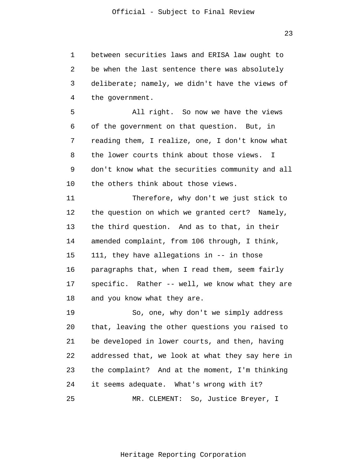1 2 3 4 between securities laws and ERISA law ought to be when the last sentence there was absolutely deliberate; namely, we didn't have the views of the government.

5 6 7 8 9 10 All right. So now we have the views of the government on that question. But, in reading them, I realize, one, I don't know what the lower courts think about those views. I don't know what the securities community and all the others think about those views.

11 12 13 14 15 16 17 18 Therefore, why don't we just stick to the question on which we granted cert? Namely, the third question. And as to that, in their amended complaint, from 106 through, I think, 111, they have allegations in -- in those paragraphs that, when I read them, seem fairly specific. Rather -- well, we know what they are and you know what they are.

19 20 21 22 23 24 25 So, one, why don't we simply address that, leaving the other questions you raised to be developed in lower courts, and then, having addressed that, we look at what they say here in the complaint? And at the moment, I'm thinking it seems adequate. What's wrong with it? MR. CLEMENT: So, Justice Breyer, I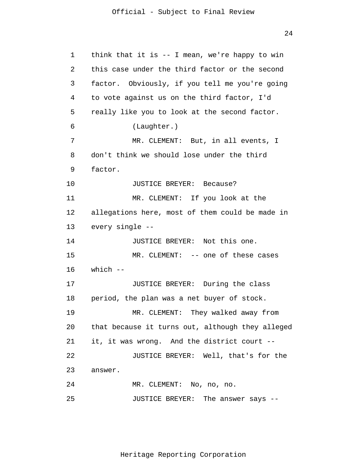24

1 2 3 4 5 6 7 8 9 10 11 12 13 14 15 16 17 18 19 20 21 22 23 24 25 think that it is -- I mean, we're happy to win this case under the third factor or the second factor. Obviously, if you tell me you're going to vote against us on the third factor, I'd really like you to look at the second factor. (Laughter.) MR. CLEMENT: But, in all events, I don't think we should lose under the third factor. JUSTICE BREYER: Because? MR. CLEMENT: If you look at the allegations here, most of them could be made in every single -- JUSTICE BREYER: Not this one. MR. CLEMENT: -- one of these cases which -- JUSTICE BREYER: During the class period, the plan was a net buyer of stock. MR. CLEMENT: They walked away from that because it turns out, although they alleged it, it was wrong. And the district court -- JUSTICE BREYER: Well, that's for the answer. MR. CLEMENT: No, no, no. JUSTICE BREYER: The answer says --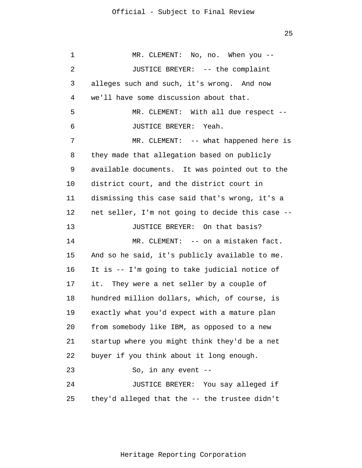1 2 3 4 5 6 7 8 9 10 11 12 13 14 15 16 17 18 19 20 21 22 23 24 25 MR. CLEMENT: No, no. When you --JUSTICE BREYER: -- the complaint alleges such and such, it's wrong. And now we'll have some discussion about that. MR. CLEMENT: With all due respect --JUSTICE BREYER: Yeah. MR. CLEMENT: -- what happened here is they made that allegation based on publicly available documents. It was pointed out to the district court, and the district court in dismissing this case said that's wrong, it's a net seller, I'm not going to decide this case -- JUSTICE BREYER: On that basis? MR. CLEMENT: -- on a mistaken fact. And so he said, it's publicly available to me. It is -- I'm going to take judicial notice of it. They were a net seller by a couple of hundred million dollars, which, of course, is exactly what you'd expect with a mature plan from somebody like IBM, as opposed to a new startup where you might think they'd be a net buyer if you think about it long enough. So, in any event -- JUSTICE BREYER: You say alleged if they'd alleged that the -- the trustee didn't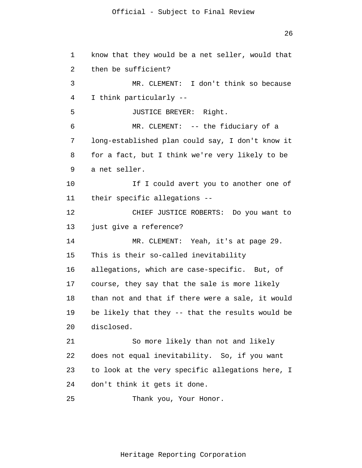1  $\overline{2}$ 3 4 5 6 7 8 9 10 11 12 13 14 15 16 17 18 19 20 21 22 23 24 25 know that they would be a net seller, would that then be sufficient? MR. CLEMENT: I don't think so because I think particularly -- JUSTICE BREYER: Right. MR. CLEMENT: -- the fiduciary of a long-established plan could say, I don't know it for a fact, but I think we're very likely to be a net seller. If I could avert you to another one of their specific allegations -- CHIEF JUSTICE ROBERTS: Do you want to just give a reference? MR. CLEMENT: Yeah, it's at page 29. This is their so-called inevitability allegations, which are case-specific. But, of course, they say that the sale is more likely than not and that if there were a sale, it would be likely that they -- that the results would be disclosed. So more likely than not and likely does not equal inevitability. So, if you want to look at the very specific allegations here, I don't think it gets it done. Thank you, Your Honor.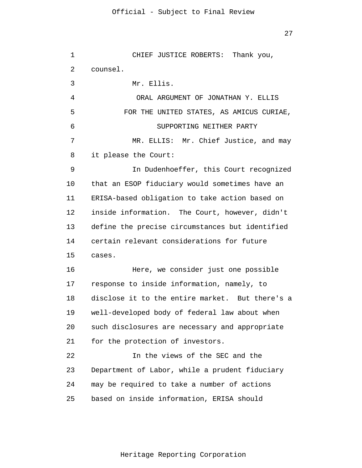1  $\overline{2}$ 3 4 5 6 7 8 9 10 11 12 13 14 15 16 17 18 19 20 21 22 23 24 25 CHIEF JUSTICE ROBERTS: Thank you, counsel. Mr. Ellis. ORAL ARGUMENT OF JONATHAN Y. ELLIS FOR THE UNITED STATES, AS AMICUS CURIAE, SUPPORTING NEITHER PARTY MR. ELLIS: Mr. Chief Justice, and may it please the Court: In Dudenhoeffer, this Court recognized that an ESOP fiduciary would sometimes have an ERISA-based obligation to take action based on inside information. The Court, however, didn't define the precise circumstances but identified certain relevant considerations for future cases. Here, we consider just one possible response to inside information, namely, to disclose it to the entire market. But there's a well-developed body of federal law about when such disclosures are necessary and appropriate for the protection of investors. In the views of the SEC and the Department of Labor, while a prudent fiduciary may be required to take a number of actions based on inside information, ERISA should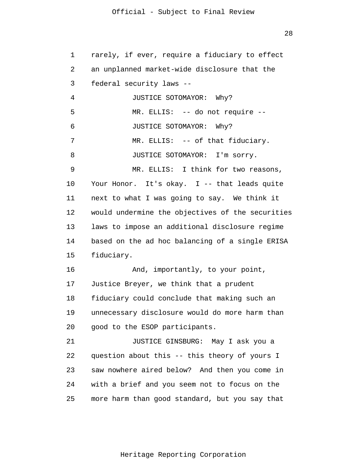28

1  $\overline{2}$ 3 4 5 6 7 8 9 10 11 12 13 14 15 16 17 18 19 20 21 22 23 24 25 rarely, if ever, require a fiduciary to effect an unplanned market-wide disclosure that the federal security laws -- JUSTICE SOTOMAYOR: Why? MR. ELLIS: -- do not require -- JUSTICE SOTOMAYOR: Why? MR. ELLIS: -- of that fiduciary. JUSTICE SOTOMAYOR: I'm sorry. MR. ELLIS: I think for two reasons, Your Honor. It's okay. I -- that leads quite next to what I was going to say. We think it would undermine the objectives of the securities laws to impose an additional disclosure regime based on the ad hoc balancing of a single ERISA fiduciary. And, importantly, to your point, Justice Breyer, we think that a prudent fiduciary could conclude that making such an unnecessary disclosure would do more harm than good to the ESOP participants. JUSTICE GINSBURG: May I ask you a question about this -- this theory of yours I saw nowhere aired below? And then you come in with a brief and you seem not to focus on the more harm than good standard, but you say that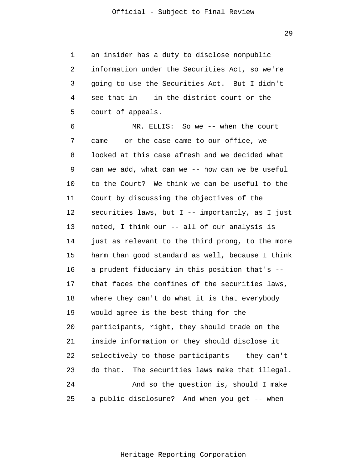1 2 3 4 5 an insider has a duty to disclose nonpublic information under the Securities Act, so we're going to use the Securities Act. But I didn't see that in -- in the district court or the court of appeals.

6 7 8 9 10 11 12 13 14 15 16 17 18 19 20 21 22 23 24 25 MR. ELLIS: So we -- when the court came -- or the case came to our office, we looked at this case afresh and we decided what can we add, what can we -- how can we be useful to the Court? We think we can be useful to the Court by discussing the objectives of the securities laws, but  $I$  -- importantly, as I just noted, I think our -- all of our analysis is just as relevant to the third prong, to the more harm than good standard as well, because I think a prudent fiduciary in this position that's - that faces the confines of the securities laws, where they can't do what it is that everybody would agree is the best thing for the participants, right, they should trade on the inside information or they should disclose it selectively to those participants -- they can't do that. The securities laws make that illegal. And so the question is, should I make a public disclosure? And when you get -- when

29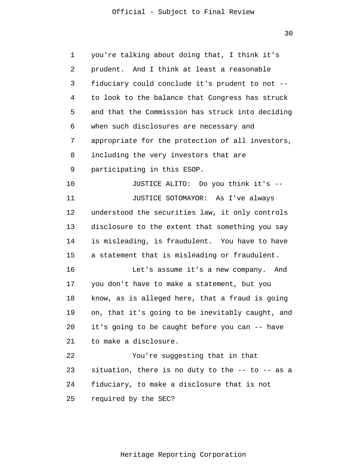30

1 2 3 4 5 6 7 8 9 10 11 12 13 14 15 16 17 18 19 20 21 22 23 24 25 you're talking about doing that, I think it's prudent. And I think at least a reasonable fiduciary could conclude it's prudent to not - to look to the balance that Congress has struck and that the Commission has struck into deciding when such disclosures are necessary and appropriate for the protection of all investors, including the very investors that are participating in this ESOP. JUSTICE ALITO: Do you think it's -- JUSTICE SOTOMAYOR: As I've always understood the securities law, it only controls disclosure to the extent that something you say is misleading, is fraudulent. You have to have a statement that is misleading or fraudulent. Let's assume it's a new company. And you don't have to make a statement, but you know, as is alleged here, that a fraud is going on, that it's going to be inevitably caught, and it's going to be caught before you can -- have to make a disclosure. You're suggesting that in that situation, there is no duty to the -- to -- as a fiduciary, to make a disclosure that is not required by the SEC?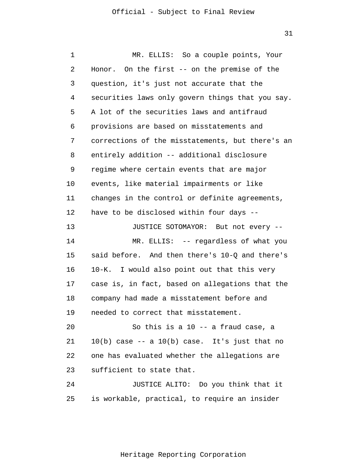| 1  | MR. ELLIS: So a couple points, Your                |  |
|----|----------------------------------------------------|--|
| 2  | Honor. On the first -- on the premise of the       |  |
| 3  | question, it's just not accurate that the          |  |
| 4  | securities laws only govern things that you say.   |  |
| 5  | A lot of the securities laws and antifraud         |  |
| 6  | provisions are based on misstatements and          |  |
| 7  | corrections of the misstatements, but there's an   |  |
| 8  | entirely addition -- additional disclosure         |  |
| 9  | regime where certain events that are major         |  |
| 10 | events, like material impairments or like          |  |
| 11 | changes in the control or definite agreements,     |  |
| 12 | have to be disclosed within four days --           |  |
| 13 | JUSTICE SOTOMAYOR: But not every --                |  |
| 14 | MR. ELLIS: -- regardless of what you               |  |
| 15 | said before. And then there's 10-Q and there's     |  |
| 16 | 10-K. I would also point out that this very        |  |
| 17 | case is, in fact, based on allegations that the    |  |
| 18 | company had made a misstatement before and         |  |
| 19 | needed to correct that misstatement.               |  |
| 20 | So this is a 10 -- a fraud case, a                 |  |
| 21 | $10(b)$ case $-$ a $10(b)$ case. It's just that no |  |
| 22 | one has evaluated whether the allegations are      |  |
| 23 | sufficient to state that.                          |  |
| 24 | JUSTICE ALITO: Do you think that it                |  |
| 25 | is workable, practical, to require an insider      |  |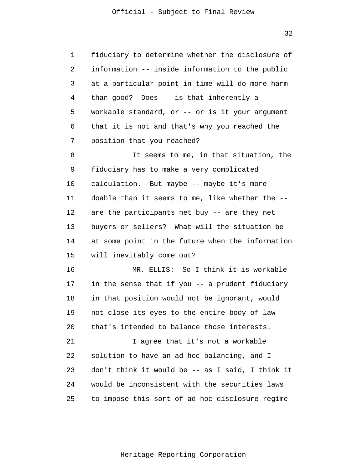1 2 3 4 5 6 7 fiduciary to determine whether the disclosure of information -- inside information to the public at a particular point in time will do more harm than good? Does -- is that inherently a workable standard, or -- or is it your argument that it is not and that's why you reached the position that you reached?

8 9 10 11 12 13 14 15 It seems to me, in that situation, the fiduciary has to make a very complicated calculation. But maybe -- maybe it's more doable than it seems to me, like whether the - are the participants net buy -- are they net buyers or sellers? What will the situation be at some point in the future when the information will inevitably come out?

16 17 18 19 20 MR. ELLIS: So I think it is workable in the sense that if you -- a prudent fiduciary in that position would not be ignorant, would not close its eyes to the entire body of law that's intended to balance those interests.

21 22 23 24 25 I agree that it's not a workable solution to have an ad hoc balancing, and I don't think it would be -- as I said, I think it would be inconsistent with the securities laws to impose this sort of ad hoc disclosure regime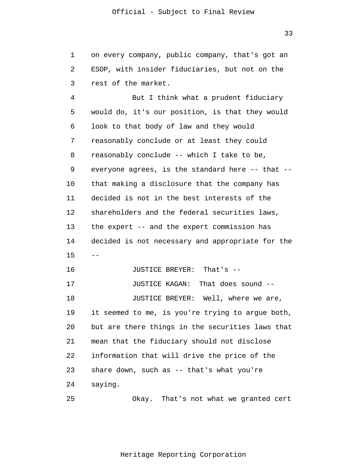1  $\overline{2}$ 3 on every company, public company, that's got an ESOP, with insider fiduciaries, but not on the rest of the market.

4 5 6 7 8 9 10 11 12 13 14 15 16 17 18 19 20 21 22 23 24 25 -- But I think what a prudent fiduciary would do, it's our position, is that they would look to that body of law and they would reasonably conclude or at least they could reasonably conclude -- which I take to be, everyone agrees, is the standard here -- that - that making a disclosure that the company has decided is not in the best interests of the shareholders and the federal securities laws, the expert -- and the expert commission has decided is not necessary and appropriate for the JUSTICE BREYER: That's -- JUSTICE KAGAN: That does sound -- JUSTICE BREYER: Well, where we are, it seemed to me, is you're trying to argue both, but are there things in the securities laws that mean that the fiduciary should not disclose information that will drive the price of the share down, such as -- that's what you're saying. Okay. That's not what we granted cert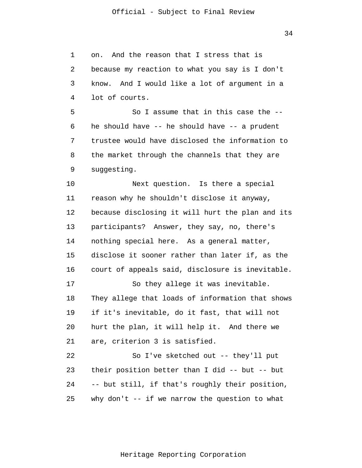34

1 2 3 4 5 6 7 8 9 10 11 12 13 14 15 16 17 18 19 20 21 22 23 24 25 on. And the reason that I stress that is because my reaction to what you say is I don't know. And I would like a lot of argument in a lot of courts. So I assume that in this case the - he should have -- he should have -- a prudent trustee would have disclosed the information to the market through the channels that they are suggesting. Next question. Is there a special reason why he shouldn't disclose it anyway, because disclosing it will hurt the plan and its participants? Answer, they say, no, there's nothing special here. As a general matter, disclose it sooner rather than later if, as the court of appeals said, disclosure is inevitable. So they allege it was inevitable. They allege that loads of information that shows if it's inevitable, do it fast, that will not hurt the plan, it will help it. And there we are, criterion 3 is satisfied. So I've sketched out -- they'll put their position better than I did -- but -- but -- but still, if that's roughly their position, why don't  $-$  if we narrow the question to what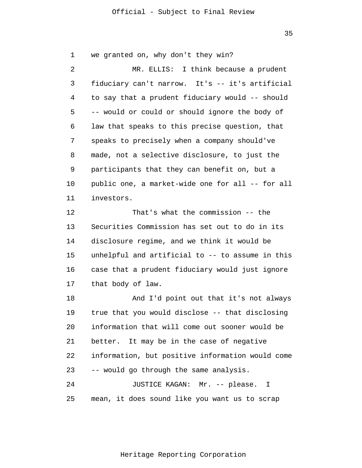35

1  $\overline{2}$ 3 4 5 6 7 8 9 10 11 12 13 14 15 16 17 18 19 20 21 22 23 24 25 we granted on, why don't they win? MR. ELLIS: I think because a prudent fiduciary can't narrow. It's -- it's artificial to say that a prudent fiduciary would -- should -- would or could or should ignore the body of law that speaks to this precise question, that speaks to precisely when a company should've made, not a selective disclosure, to just the participants that they can benefit on, but a public one, a market-wide one for all -- for all investors. That's what the commission -- the Securities Commission has set out to do in its disclosure regime, and we think it would be unhelpful and artificial to -- to assume in this case that a prudent fiduciary would just ignore that body of law. And I'd point out that it's not always true that you would disclose -- that disclosing information that will come out sooner would be better. It may be in the case of negative information, but positive information would come -- would go through the same analysis. JUSTICE KAGAN: Mr. -- please. I mean, it does sound like you want us to scrap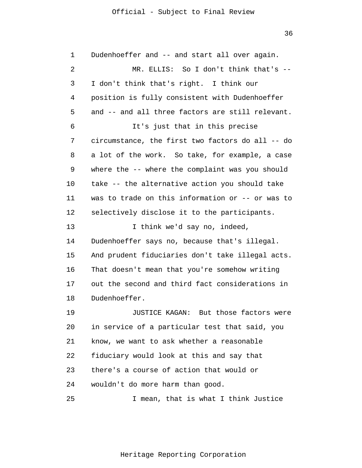36

1  $\overline{2}$ 3 4 5 6 7 8 9 10 11 12 13 14 15 16 17 18 19 20 21 22 23 24 25 Dudenhoeffer and -- and start all over again. MR. ELLIS: So I don't think that's --I don't think that's right. I think our position is fully consistent with Dudenhoeffer and -- and all three factors are still relevant. It's just that in this precise circumstance, the first two factors do all -- do a lot of the work. So take, for example, a case where the -- where the complaint was you should take -- the alternative action you should take was to trade on this information or -- or was to selectively disclose it to the participants. I think we'd say no, indeed, Dudenhoeffer says no, because that's illegal. And prudent fiduciaries don't take illegal acts. That doesn't mean that you're somehow writing out the second and third fact considerations in Dudenhoeffer. JUSTICE KAGAN: But those factors were in service of a particular test that said, you know, we want to ask whether a reasonable fiduciary would look at this and say that there's a course of action that would or wouldn't do more harm than good. I mean, that is what I think Justice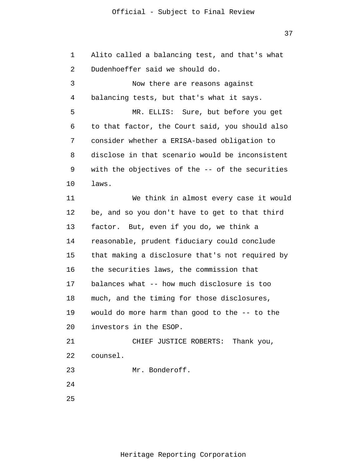37

1 2 3 4 5 6 7 8 9 10 11 12 13 14 15 16 17 18 19 20 21 22 23 24 25 Alito called a balancing test, and that's what Dudenhoeffer said we should do. Now there are reasons against balancing tests, but that's what it says. MR. ELLIS: Sure, but before you get to that factor, the Court said, you should also consider whether a ERISA-based obligation to disclose in that scenario would be inconsistent with the objectives of the -- of the securities laws. We think in almost every case it would be, and so you don't have to get to that third factor. But, even if you do, we think a reasonable, prudent fiduciary could conclude that making a disclosure that's not required by the securities laws, the commission that balances what -- how much disclosure is too much, and the timing for those disclosures, would do more harm than good to the -- to the investors in the ESOP. CHIEF JUSTICE ROBERTS: Thank you, counsel. Mr. Bonderoff.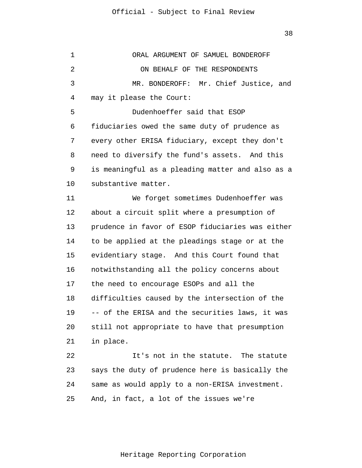1  $\overline{2}$ 3 4 5 6 7 8 9 10 11 12 13 14 15 16 17 18 19 20 21 22 23 24 25 ORAL ARGUMENT OF SAMUEL BONDEROFF ON BEHALF OF THE RESPONDENTS MR. BONDEROFF: Mr. Chief Justice, and may it please the Court: Dudenhoeffer said that ESOP fiduciaries owed the same duty of prudence as every other ERISA fiduciary, except they don't need to diversify the fund's assets. And this is meaningful as a pleading matter and also as a substantive matter. We forget sometimes Dudenhoeffer was about a circuit split where a presumption of prudence in favor of ESOP fiduciaries was either to be applied at the pleadings stage or at the evidentiary stage. And this Court found that notwithstanding all the policy concerns about the need to encourage ESOPs and all the difficulties caused by the intersection of the -- of the ERISA and the securities laws, it was still not appropriate to have that presumption in place. It's not in the statute. The statute says the duty of prudence here is basically the same as would apply to a non-ERISA investment. And, in fact, a lot of the issues we're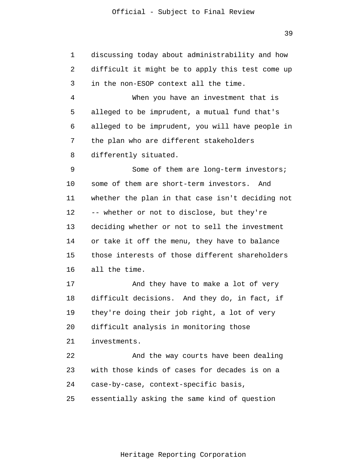1 2 3 4 5 6 7 8 9 10 11 12 13 14 15 16 17 18 19 20 21 22 23 24 25 discussing today about administrability and how difficult it might be to apply this test come up in the non-ESOP context all the time. When you have an investment that is alleged to be imprudent, a mutual fund that's alleged to be imprudent, you will have people in the plan who are different stakeholders differently situated. Some of them are long-term investors; some of them are short-term investors. And whether the plan in that case isn't deciding not -- whether or not to disclose, but they're deciding whether or not to sell the investment or take it off the menu, they have to balance those interests of those different shareholders all the time. And they have to make a lot of very difficult decisions. And they do, in fact, if they're doing their job right, a lot of very difficult analysis in monitoring those investments. And the way courts have been dealing with those kinds of cases for decades is on a case-by-case, context-specific basis, essentially asking the same kind of question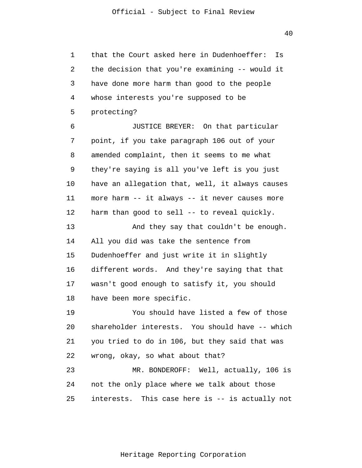1 2 3 4 5 6 that the Court asked here in Dudenhoeffer: Is the decision that you're examining -- would it have done more harm than good to the people whose interests you're supposed to be protecting? JUSTICE BREYER: On that particular

7 8 9 10 11 12 point, if you take paragraph 106 out of your amended complaint, then it seems to me what they're saying is all you've left is you just have an allegation that, well, it always causes more harm -- it always -- it never causes more harm than good to sell -- to reveal quickly.

13 14 15 16 17 18 And they say that couldn't be enough. All you did was take the sentence from Dudenhoeffer and just write it in slightly different words. And they're saying that that wasn't good enough to satisfy it, you should have been more specific.

19 20 21 22 You should have listed a few of those shareholder interests. You should have -- which you tried to do in 106, but they said that was wrong, okay, so what about that?

23 24 25 MR. BONDEROFF: Well, actually, 106 is not the only place where we talk about those interests. This case here is -- is actually not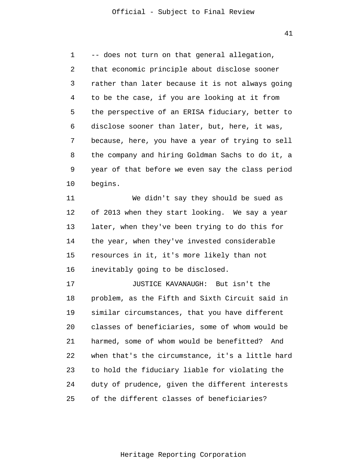1  $\overline{2}$ 3 4 5 6 7 8 9 10 11 -- does not turn on that general allegation, that economic principle about disclose sooner rather than later because it is not always going to be the case, if you are looking at it from the perspective of an ERISA fiduciary, better to disclose sooner than later, but, here, it was, because, here, you have a year of trying to sell the company and hiring Goldman Sachs to do it, a year of that before we even say the class period begins. We didn't say they should be sued as

12 13 14 15 16 of 2013 when they start looking. We say a year later, when they've been trying to do this for the year, when they've invested considerable resources in it, it's more likely than not inevitably going to be disclosed.

17 18 19 20 21 22 23 24 25 JUSTICE KAVANAUGH: But isn't the problem, as the Fifth and Sixth Circuit said in similar circumstances, that you have different classes of beneficiaries, some of whom would be harmed, some of whom would be benefitted? And when that's the circumstance, it's a little hard to hold the fiduciary liable for violating the duty of prudence, given the different interests of the different classes of beneficiaries?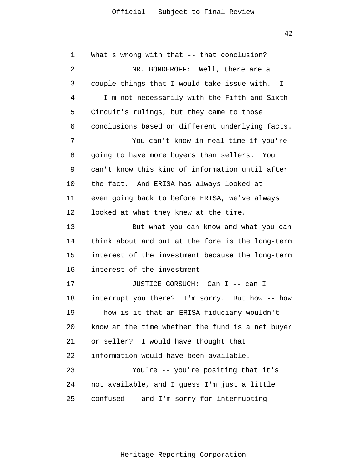1  $\overline{2}$ 3 4 5 6 7 8 9 10 11 12 13 14 15 16 17 18 19 20 21 22 What's wrong with that -- that conclusion? MR. BONDEROFF: Well, there are a couple things that I would take issue with. I -- I'm not necessarily with the Fifth and Sixth Circuit's rulings, but they came to those conclusions based on different underlying facts. You can't know in real time if you're going to have more buyers than sellers. You can't know this kind of information until after the fact. And ERISA has always looked at - even going back to before ERISA, we've always looked at what they knew at the time. But what you can know and what you can think about and put at the fore is the long-term interest of the investment because the long-term interest of the investment -- JUSTICE GORSUCH: Can I -- can I interrupt you there? I'm sorry. But how -- how -- how is it that an ERISA fiduciary wouldn't know at the time whether the fund is a net buyer or seller? I would have thought that information would have been available.

23 24 25 You're -- you're positing that it's not available, and I guess I'm just a little confused -- and I'm sorry for interrupting --

42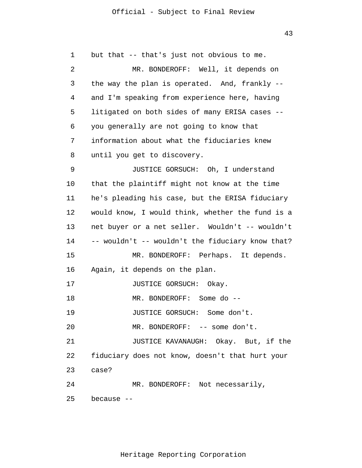43

1  $\overline{2}$ 3 4 5 6 7 8 9 10 11 12 13 14 15 16 17 18 19 20 21 22 23 24 25 but that -- that's just not obvious to me. MR. BONDEROFF: Well, it depends on the way the plan is operated. And, frankly - and I'm speaking from experience here, having litigated on both sides of many ERISA cases - you generally are not going to know that information about what the fiduciaries knew until you get to discovery. JUSTICE GORSUCH: Oh, I understand that the plaintiff might not know at the time he's pleading his case, but the ERISA fiduciary would know, I would think, whether the fund is a net buyer or a net seller. Wouldn't -- wouldn't -- wouldn't -- wouldn't the fiduciary know that? MR. BONDEROFF: Perhaps. It depends. Again, it depends on the plan. JUSTICE GORSUCH: Okay. MR. BONDEROFF: Some do -- JUSTICE GORSUCH: Some don't. MR. BONDEROFF: -- some don't. JUSTICE KAVANAUGH: Okay. But, if the fiduciary does not know, doesn't that hurt your case? MR. BONDEROFF: Not necessarily, because --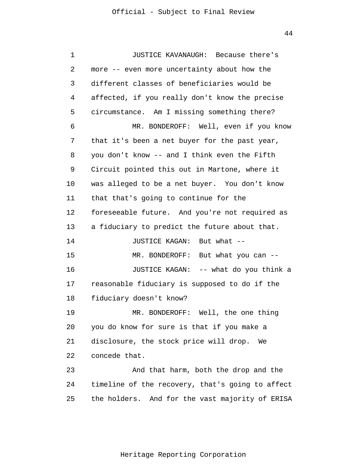1 2 3 4 5 6 7 8 9 10 11 12 13 14 15 16 17 18 19 20 21 22 23 24 25 JUSTICE KAVANAUGH: Because there's more -- even more uncertainty about how the different classes of beneficiaries would be affected, if you really don't know the precise circumstance. Am I missing something there? MR. BONDEROFF: Well, even if you know that it's been a net buyer for the past year, you don't know -- and I think even the Fifth Circuit pointed this out in Martone, where it was alleged to be a net buyer. You don't know that that's going to continue for the foreseeable future. And you're not required as a fiduciary to predict the future about that. JUSTICE KAGAN: But what -- MR. BONDEROFF: But what you can --JUSTICE KAGAN: -- what do you think a reasonable fiduciary is supposed to do if the fiduciary doesn't know? MR. BONDEROFF: Well, the one thing you do know for sure is that if you make a disclosure, the stock price will drop. We concede that. And that harm, both the drop and the timeline of the recovery, that's going to affect the holders. And for the vast majority of ERISA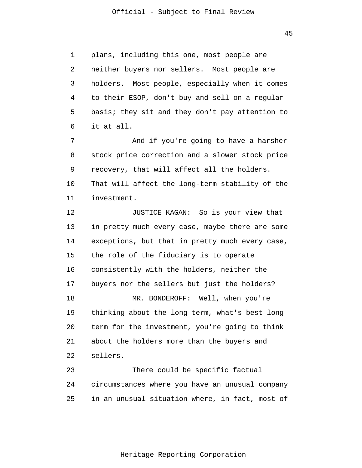45

1  $\overline{2}$ 3 4 5 6 plans, including this one, most people are neither buyers nor sellers. Most people are holders. Most people, especially when it comes to their ESOP, don't buy and sell on a regular basis; they sit and they don't pay attention to it at all.

7 8 9 10 11 And if you're going to have a harsher stock price correction and a slower stock price recovery, that will affect all the holders. That will affect the long-term stability of the investment.

12 13 14 15 16 17 18 19 20 21 22 JUSTICE KAGAN: So is your view that in pretty much every case, maybe there are some exceptions, but that in pretty much every case, the role of the fiduciary is to operate consistently with the holders, neither the buyers nor the sellers but just the holders? MR. BONDEROFF: Well, when you're thinking about the long term, what's best long term for the investment, you're going to think about the holders more than the buyers and sellers.

23 24 25 There could be specific factual circumstances where you have an unusual company in an unusual situation where, in fact, most of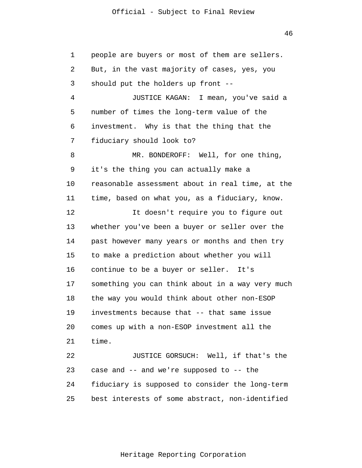46

1 2 3 4 5 6 7 8 9 10 11 12 13 14 15 16 17 18 19 20 21 22 23 24 25 people are buyers or most of them are sellers. But, in the vast majority of cases, yes, you should put the holders up front -- JUSTICE KAGAN: I mean, you've said a number of times the long-term value of the investment. Why is that the thing that the fiduciary should look to? MR. BONDEROFF: Well, for one thing, it's the thing you can actually make a reasonable assessment about in real time, at the time, based on what you, as a fiduciary, know. It doesn't require you to figure out whether you've been a buyer or seller over the past however many years or months and then try to make a prediction about whether you will continue to be a buyer or seller. It's something you can think about in a way very much the way you would think about other non-ESOP investments because that -- that same issue comes up with a non-ESOP investment all the time. JUSTICE GORSUCH: Well, if that's the case and -- and we're supposed to -- the fiduciary is supposed to consider the long-term best interests of some abstract, non-identified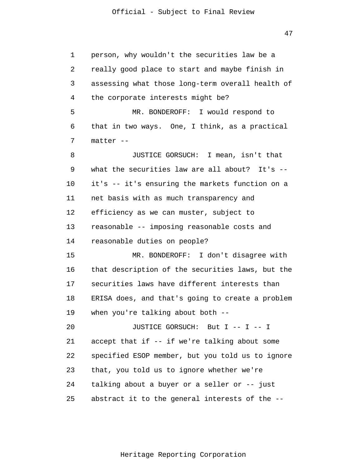47

1  $\overline{2}$ 3 4 5 6 7 8 9 10 11 12 13 14 15 16 17 18 19 20 21 22 23 24 25 person, why wouldn't the securities law be a really good place to start and maybe finish in assessing what those long-term overall health of the corporate interests might be? MR. BONDEROFF: I would respond to that in two ways. One, I think, as a practical matter -- JUSTICE GORSUCH: I mean, isn't that what the securities law are all about? It's -it's -- it's ensuring the markets function on a net basis with as much transparency and efficiency as we can muster, subject to reasonable -- imposing reasonable costs and reasonable duties on people? MR. BONDEROFF: I don't disagree with that description of the securities laws, but the securities laws have different interests than ERISA does, and that's going to create a problem when you're talking about both -- JUSTICE GORSUCH: But I -- I -- I accept that if -- if we're talking about some specified ESOP member, but you told us to ignore that, you told us to ignore whether we're talking about a buyer or a seller or -- just abstract it to the general interests of the --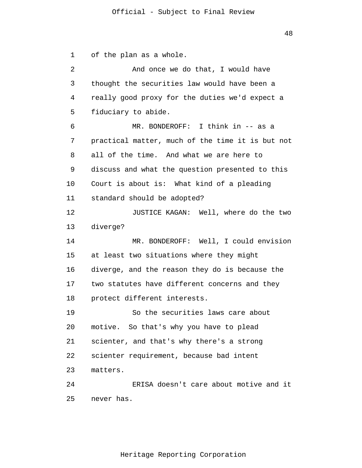of the plan as a whole.

1

48

 $\overline{2}$ 3 4 5 6 7 8 9 10 11 12 13 14 15 16 17 18 19 20 21 22 23 24 25 And once we do that, I would have thought the securities law would have been a really good proxy for the duties we'd expect a fiduciary to abide. MR. BONDEROFF: I think in -- as a practical matter, much of the time it is but not all of the time. And what we are here to discuss and what the question presented to this Court is about is: What kind of a pleading standard should be adopted? JUSTICE KAGAN: Well, where do the two diverge? MR. BONDEROFF: Well, I could envision at least two situations where they might diverge, and the reason they do is because the two statutes have different concerns and they protect different interests. So the securities laws care about motive. So that's why you have to plead scienter, and that's why there's a strong scienter requirement, because bad intent matters. ERISA doesn't care about motive and it never has.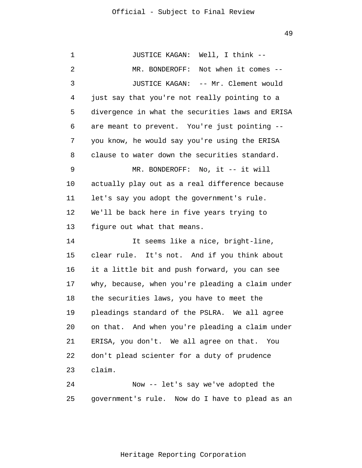1  $\overline{2}$ 3 4 5 6 7 8 9 10 11 12 13 14 15 16 17 18 19 20 21 22 23 24 JUSTICE KAGAN: Well, I think -- MR. BONDEROFF: Not when it comes --JUSTICE KAGAN: -- Mr. Clement would just say that you're not really pointing to a divergence in what the securities laws and ERISA are meant to prevent. You're just pointing - you know, he would say you're using the ERISA clause to water down the securities standard. MR. BONDEROFF: No, it -- it will actually play out as a real difference because let's say you adopt the government's rule. We'll be back here in five years trying to figure out what that means. It seems like a nice, bright-line, clear rule. It's not. And if you think about it a little bit and push forward, you can see why, because, when you're pleading a claim under the securities laws, you have to meet the pleadings standard of the PSLRA. We all agree on that. And when you're pleading a claim under ERISA, you don't. We all agree on that. You don't plead scienter for a duty of prudence claim. Now -- let's say we've adopted the

Heritage Reporting Corporation

government's rule. Now do I have to plead as an

25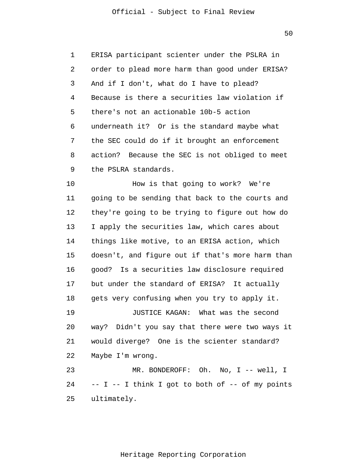50

1  $\overline{2}$ 3 4 5 6 7 8 9 ERISA participant scienter under the PSLRA in order to plead more harm than good under ERISA? And if I don't, what do I have to plead? Because is there a securities law violation if there's not an actionable 10b-5 action underneath it? Or is the standard maybe what the SEC could do if it brought an enforcement action? Because the SEC is not obliged to meet the PSLRA standards.

10 11 12 13 14 15 16 17 18 19 20 21 22 23 24 25 How is that going to work? We're going to be sending that back to the courts and they're going to be trying to figure out how do I apply the securities law, which cares about things like motive, to an ERISA action, which doesn't, and figure out if that's more harm than good? Is a securities law disclosure required but under the standard of ERISA? It actually gets very confusing when you try to apply it. JUSTICE KAGAN: What was the second way? Didn't you say that there were two ways it would diverge? One is the scienter standard? Maybe I'm wrong. MR. BONDEROFF: Oh. No, I -- well, I  $-$  I  $-$  I think I got to both of  $-$  of my points ultimately.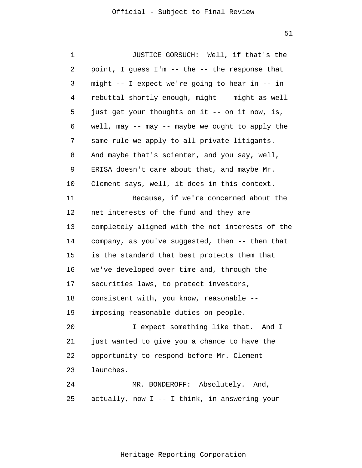1 2 3 4 5 6 7 8 9 10 11 12 13 14 15 16 17 18 19 20 21 22 23 24 25 JUSTICE GORSUCH: Well, if that's the point, I guess I'm -- the -- the response that might -- I expect we're going to hear in -- in rebuttal shortly enough, might -- might as well just get your thoughts on it -- on it now, is, well, may -- may -- maybe we ought to apply the same rule we apply to all private litigants. And maybe that's scienter, and you say, well, ERISA doesn't care about that, and maybe Mr. Clement says, well, it does in this context. Because, if we're concerned about the net interests of the fund and they are completely aligned with the net interests of the company, as you've suggested, then -- then that is the standard that best protects them that we've developed over time and, through the securities laws, to protect investors, consistent with, you know, reasonable - imposing reasonable duties on people. I expect something like that. And I just wanted to give you a chance to have the opportunity to respond before Mr. Clement launches. MR. BONDEROFF: Absolutely. And, actually, now I -- I think, in answering your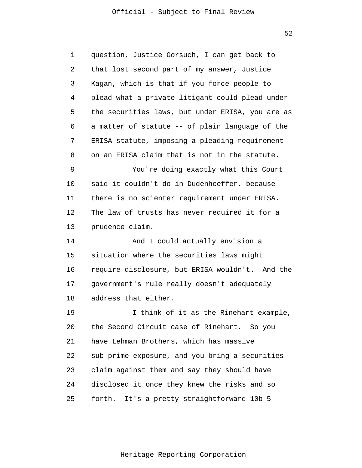52

1 2 3 4 5 6 7 8 9 10 11 12 13 14 15 16 17 18 19 20 21 22 23 24 25 question, Justice Gorsuch, I can get back to that lost second part of my answer, Justice Kagan, which is that if you force people to plead what a private litigant could plead under the securities laws, but under ERISA, you are as a matter of statute -- of plain language of the ERISA statute, imposing a pleading requirement on an ERISA claim that is not in the statute. You're doing exactly what this Court said it couldn't do in Dudenhoeffer, because there is no scienter requirement under ERISA. The law of trusts has never required it for a prudence claim. And I could actually envision a situation where the securities laws might require disclosure, but ERISA wouldn't. And the government's rule really doesn't adequately address that either. I think of it as the Rinehart example, the Second Circuit case of Rinehart. So you have Lehman Brothers, which has massive sub-prime exposure, and you bring a securities claim against them and say they should have disclosed it once they knew the risks and so forth. It's a pretty straightforward 10b-5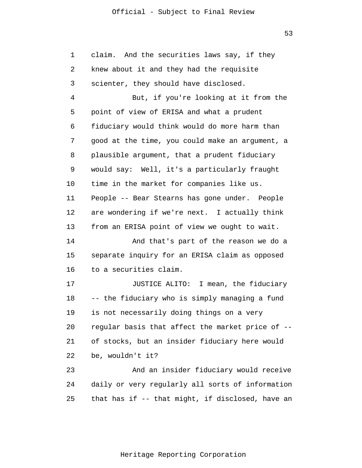53

1 2 3 4 5 6 7 8 9 10 11 12 13 14 15 16 17 18 19 20 21 22 23 24 25 claim. And the securities laws say, if they knew about it and they had the requisite scienter, they should have disclosed. But, if you're looking at it from the point of view of ERISA and what a prudent fiduciary would think would do more harm than good at the time, you could make an argument, a plausible argument, that a prudent fiduciary would say: Well, it's a particularly fraught time in the market for companies like us. People -- Bear Stearns has gone under. People are wondering if we're next. I actually think from an ERISA point of view we ought to wait. And that's part of the reason we do a separate inquiry for an ERISA claim as opposed to a securities claim. JUSTICE ALITO: I mean, the fiduciary -- the fiduciary who is simply managing a fund is not necessarily doing things on a very regular basis that affect the market price of - of stocks, but an insider fiduciary here would be, wouldn't it? And an insider fiduciary would receive daily or very regularly all sorts of information that has if -- that might, if disclosed, have an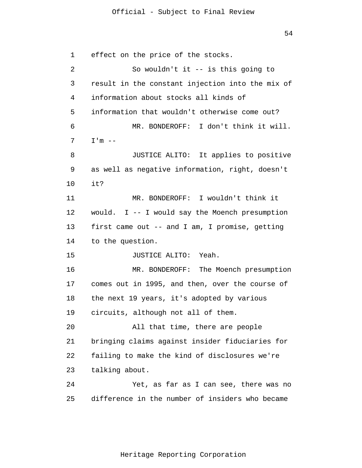54

1  $\overline{2}$ 3 4 5 6 7 8 9 10 11 12 13 14 15 16 17 18 19 20 21 22 23 24 25 effect on the price of the stocks. So wouldn't it -- is this going to result in the constant injection into the mix of information about stocks all kinds of information that wouldn't otherwise come out? MR. BONDEROFF: I don't think it will.  $I'm$   $--$ JUSTICE ALITO: It applies to positive as well as negative information, right, doesn't it? MR. BONDEROFF: I wouldn't think it would.  $I$  -- I would say the Moench presumption first came out -- and I am, I promise, getting to the question. JUSTICE ALITO: Yeah. MR. BONDEROFF: The Moench presumption comes out in 1995, and then, over the course of the next 19 years, it's adopted by various circuits, although not all of them. All that time, there are people bringing claims against insider fiduciaries for failing to make the kind of disclosures we're talking about. Yet, as far as I can see, there was no difference in the number of insiders who became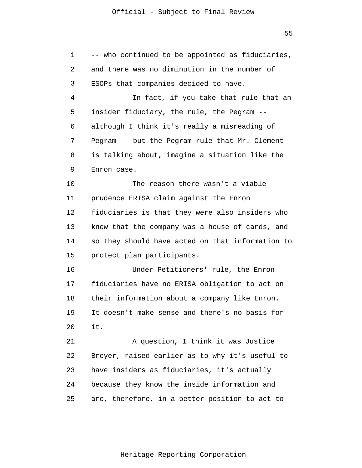1 2 3 4 5 6 7 8 9 10 11 12 13 14 15 16 17 18 19 20 21 22 23 24 25 -- who continued to be appointed as fiduciaries, and there was no diminution in the number of ESOPs that companies decided to have. In fact, if you take that rule that an insider fiduciary, the rule, the Pegram - although I think it's really a misreading of Pegram -- but the Pegram rule that Mr. Clement is talking about, imagine a situation like the Enron case. The reason there wasn't a viable prudence ERISA claim against the Enron fiduciaries is that they were also insiders who knew that the company was a house of cards, and so they should have acted on that information to protect plan participants. Under Petitioners' rule, the Enron fiduciaries have no ERISA obligation to act on their information about a company like Enron. It doesn't make sense and there's no basis for it. A question, I think it was Justice Breyer, raised earlier as to why it's useful to have insiders as fiduciaries, it's actually because they know the inside information and are, therefore, in a better position to act to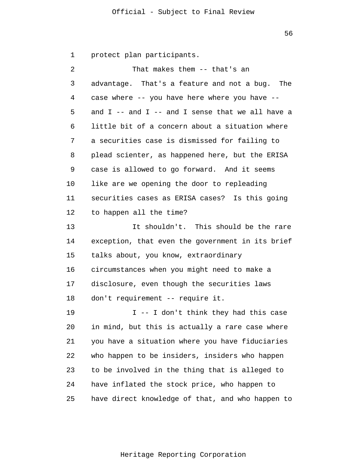56

1 protect plan participants.

| 2  | That makes them -- that's an                         |
|----|------------------------------------------------------|
| 3  | advantage. That's a feature and not a bug. The       |
| 4  | case where -- you have here where you have --        |
| 5  | and $I$ -- and $I$ -- and I sense that we all have a |
| 6  | little bit of a concern about a situation where      |
| 7  | a securities case is dismissed for failing to        |
| 8  | plead scienter, as happened here, but the ERISA      |
| 9  | case is allowed to go forward. And it seems          |
| 10 | like are we opening the door to repleading           |
| 11 | securities cases as ERISA cases? Is this going       |
| 12 | to happen all the time?                              |
| 13 | It shouldn't. This should be the rare                |
| 14 | exception, that even the government in its brief     |
| 15 | talks about, you know, extraordinary                 |
| 16 | circumstances when you might need to make a          |
| 17 | disclosure, even though the securities laws          |
| 18 | don't requirement -- require it.                     |
| 19 | I -- I don't think they had this case                |
| 20 | in mind, but this is actually a rare case where      |
| 21 | you have a situation where you have fiduciaries      |
| 22 | who happen to be insiders, insiders who happen       |
| 23 | to be involved in the thing that is alleged to       |
| 24 | have inflated the stock price, who happen to         |
| 25 | have direct knowledge of that, and who happen to     |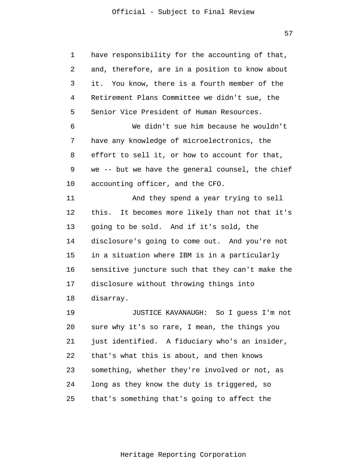57

1 2 3 4 5 6 7 8 9 10 11 12 13 14 15 16 17 18 19 20 21 22 23 24 25 have responsibility for the accounting of that, and, therefore, are in a position to know about it. You know, there is a fourth member of the Retirement Plans Committee we didn't sue, the Senior Vice President of Human Resources. We didn't sue him because he wouldn't have any knowledge of microelectronics, the effort to sell it, or how to account for that, we -- but we have the general counsel, the chief accounting officer, and the CFO. And they spend a year trying to sell this. It becomes more likely than not that it's going to be sold. And if it's sold, the disclosure's going to come out. And you're not in a situation where IBM is in a particularly sensitive juncture such that they can't make the disclosure without throwing things into disarray. JUSTICE KAVANAUGH: So I guess I'm not sure why it's so rare, I mean, the things you just identified. A fiduciary who's an insider, that's what this is about, and then knows something, whether they're involved or not, as long as they know the duty is triggered, so that's something that's going to affect the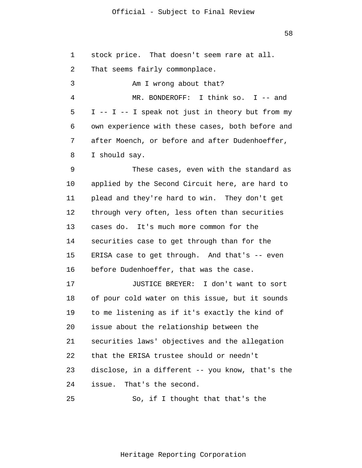58

| 1  | stock price. That doesn't seem rare at all.      |
|----|--------------------------------------------------|
| 2  | That seems fairly commonplace.                   |
| 3  | Am I wrong about that?                           |
| 4  | MR. BONDEROFF: I think so. I $-$ and             |
| 5  | I -- I -- I speak not just in theory but from my |
| 6  | own experience with these cases, both before and |
| 7  | after Moench, or before and after Dudenhoeffer,  |
| 8  | I should say.                                    |
| 9  | These cases, even with the standard as           |
| 10 | applied by the Second Circuit here, are hard to  |
| 11 | plead and they're hard to win. They don't get    |
| 12 | through very often, less often than securities   |
| 13 | cases do. It's much more common for the          |
| 14 | securities case to get through than for the      |
| 15 | ERISA case to get through. And that's -- even    |
| 16 | before Dudenhoeffer, that was the case.          |
| 17 | JUSTICE BREYER: I don't want to sort             |
| 18 | of pour cold water on this issue, but it sounds  |
| 19 | to me listening as if it's exactly the kind of   |
| 20 | issue about the relationship between the         |
| 21 | securities laws' objectives and the allegation   |
| 22 | that the ERISA trustee should or needn't         |
| 23 | disclose, in a different -- you know, that's the |
| 24 | issue. That's the second.                        |
| 25 | So, if I thought that that's the                 |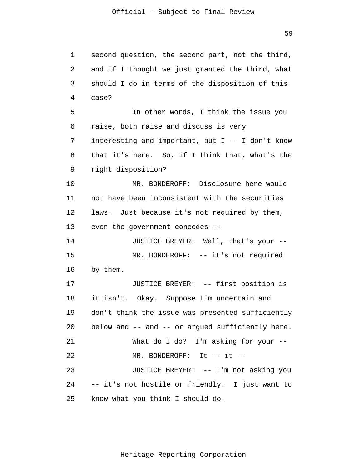```
1 
 2 
 3 
 4 
 5 
 6 
 7 
 8 
 9 
10 
11 
12 
13 
14 
15 
16 
17 
18 
19 
20 
21 
22 
23 
24 
25 
      second question, the second part, not the third, 
      and if I thought we just granted the third, what 
      should I do in terms of the disposition of this 
      case? 
                In other words, I think the issue you 
      raise, both raise and discuss is very 
      interesting and important, but I -- I don't know
      that it's here. So, if I think that, what's the 
      right disposition? 
                MR. BONDEROFF: Disclosure here would 
      not have been inconsistent with the securities 
      laws. Just because it's not required by them, 
      even the government concedes --
                JUSTICE BREYER: Well, that's your --
                MR. BONDEROFF: -- it's not required
      by them. 
                JUSTICE BREYER: -- first position is 
      it isn't. Okay. Suppose I'm uncertain and 
      don't think the issue was presented sufficiently 
      below and -- and -- or argued sufficiently here. 
                What do I do? I'm asking for your --
                MR. BONDEROFF: It -- it --
                JUSTICE BREYER: -- I'm not asking you 
      -- it's not hostile or friendly. I just want to 
      know what you think I should do.
```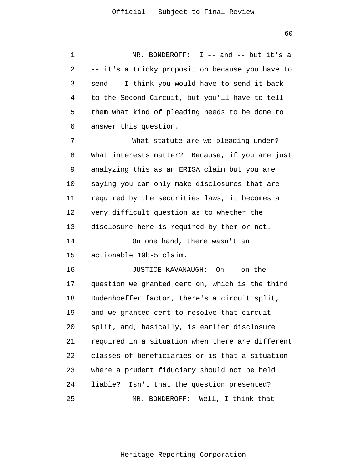1 2 3 4 5 6 MR. BONDEROFF: I -- and -- but it's a -- it's a tricky proposition because you have to send -- I think you would have to send it back to the Second Circuit, but you'll have to tell them what kind of pleading needs to be done to answer this question.

7 8 9 10 11 12 13 14 15 16 17 18 19 20 21 22 23 What statute are we pleading under? What interests matter? Because, if you are just analyzing this as an ERISA claim but you are saying you can only make disclosures that are required by the securities laws, it becomes a very difficult question as to whether the disclosure here is required by them or not. On one hand, there wasn't an actionable 10b-5 claim. JUSTICE KAVANAUGH: On -- on the question we granted cert on, which is the third Dudenhoeffer factor, there's a circuit split, and we granted cert to resolve that circuit split, and, basically, is earlier disclosure required in a situation when there are different classes of beneficiaries or is that a situation where a prudent fiduciary should not be held

25 MR. BONDEROFF: Well, I think that --

liable? Isn't that the question presented?

24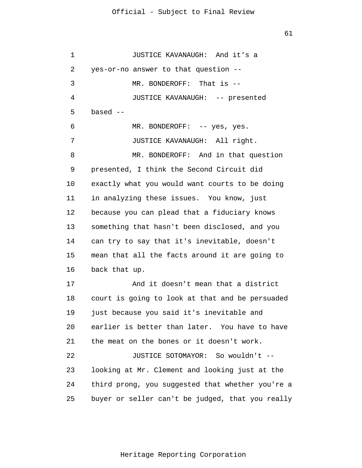1 2 3 4 5 6 7 8 9 10 11 12 13 14 15 16 17 18 19 20 21 22 23 24 25 JUSTICE KAVANAUGH: And it's a yes-or-no answer to that question -- MR. BONDEROFF: That is -- JUSTICE KAVANAUGH: -- presented based -- MR. BONDEROFF: -- yes, yes. JUSTICE KAVANAUGH: All right. MR. BONDEROFF: And in that question presented, I think the Second Circuit did exactly what you would want courts to be doing in analyzing these issues. You know, just because you can plead that a fiduciary knows something that hasn't been disclosed, and you can try to say that it's inevitable, doesn't mean that all the facts around it are going to back that up. And it doesn't mean that a district court is going to look at that and be persuaded just because you said it's inevitable and earlier is better than later. You have to have the meat on the bones or it doesn't work. JUSTICE SOTOMAYOR: So wouldn't - looking at Mr. Clement and looking just at the third prong, you suggested that whether you're a buyer or seller can't be judged, that you really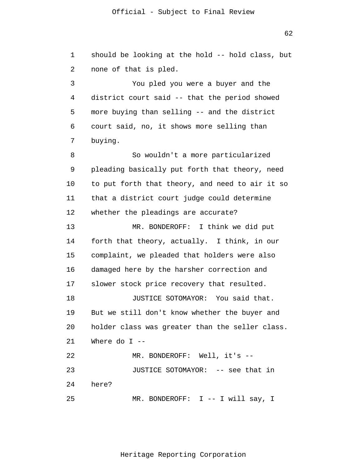62

1 2 should be looking at the hold -- hold class, but none of that is pled.

3 4 5 6 7 You pled you were a buyer and the district court said -- that the period showed more buying than selling -- and the district court said, no, it shows more selling than buying.

8 9 10 11 12 So wouldn't a more particularized pleading basically put forth that theory, need to put forth that theory, and need to air it so that a district court judge could determine whether the pleadings are accurate?

13 14 15 16 17 18 19 20 21 22 23 MR. BONDEROFF: I think we did put forth that theory, actually. I think, in our complaint, we pleaded that holders were also damaged here by the harsher correction and slower stock price recovery that resulted. JUSTICE SOTOMAYOR: You said that. But we still don't know whether the buyer and holder class was greater than the seller class. Where do  $I$  --MR. BONDEROFF: Well, it's -- JUSTICE SOTOMAYOR: -- see that in

24 here?

25 MR. BONDEROFF: I -- I will say, I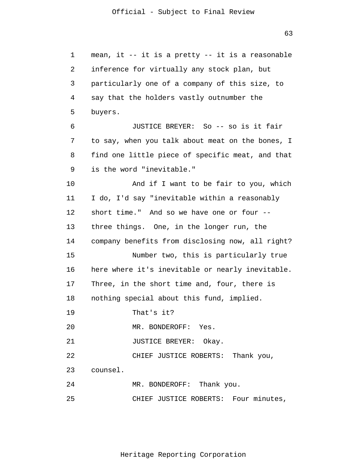1 2 3 4 5 6 7 8 9 10 11 12 13 14 15 16 17 18 19 20 21 22 23 24 25 mean, it -- it is a pretty -- it is a reasonable inference for virtually any stock plan, but particularly one of a company of this size, to say that the holders vastly outnumber the buyers. JUSTICE BREYER: So -- so is it fair to say, when you talk about meat on the bones, I find one little piece of specific meat, and that is the word "inevitable." And if I want to be fair to you, which I do, I'd say "inevitable within a reasonably short time." And so we have one or four - three things. One, in the longer run, the company benefits from disclosing now, all right? Number two, this is particularly true here where it's inevitable or nearly inevitable. Three, in the short time and, four, there is nothing special about this fund, implied. That's it? MR. BONDEROFF: Yes. JUSTICE BREYER: Okay. CHIEF JUSTICE ROBERTS: Thank you, counsel. MR. BONDEROFF: Thank you. CHIEF JUSTICE ROBERTS: Four minutes,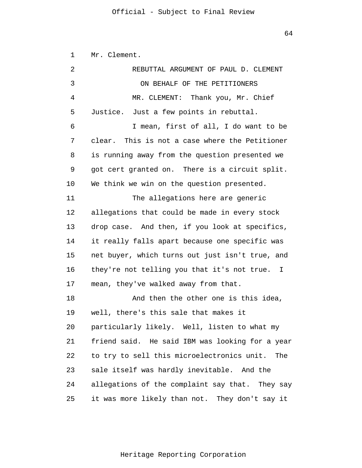1 Mr. Clement.

| 2  | REBUTTAL ARGUMENT OF PAUL D. CLEMENT            |
|----|-------------------------------------------------|
| 3  | ON BEHALF OF THE PETITIONERS                    |
| 4  | MR. CLEMENT: Thank you, Mr. Chief               |
| 5  | Justice. Just a few points in rebuttal.         |
| 6  | I mean, first of all, I do want to be           |
| 7  | clear. This is not a case where the Petitioner  |
| 8  | is running away from the question presented we  |
| 9  | got cert granted on. There is a circuit split.  |
| 10 | We think we win on the question presented.      |
| 11 | The allegations here are generic                |
| 12 | allegations that could be made in every stock   |
| 13 | drop case. And then, if you look at specifics,  |
| 14 | it really falls apart because one specific was  |
| 15 | net buyer, which turns out just isn't true, and |
| 16 | they're not telling you that it's not true. I   |
| 17 | mean, they've walked away from that.            |
| 18 | And then the other one is this idea,            |
| 19 | well, there's this sale that makes it           |
| 20 | particularly likely. Well, listen to what my    |
| 21 | friend said. He said IBM was looking for a year |
| 22 | to try to sell this microelectronics unit. The  |
| 23 | sale itself was hardly inevitable. And the      |
| 24 | allegations of the complaint say that. They say |
| 25 | it was more likely than not. They don't say it  |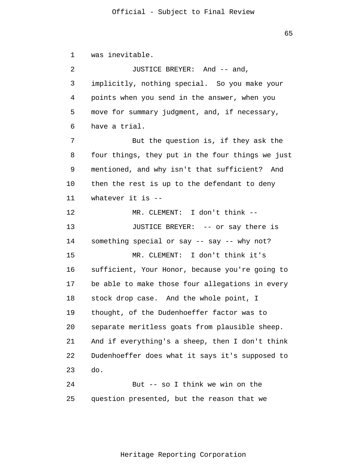1  $\overline{2}$ 3 4 5 6 7 8 9 10 11 12 13 14 15 16 17 18 19 20 21 22 23 24 25 was inevitable. JUSTICE BREYER: And -- and, implicitly, nothing special. So you make your points when you send in the answer, when you move for summary judgment, and, if necessary, have a trial. But the question is, if they ask the four things, they put in the four things we just mentioned, and why isn't that sufficient? And then the rest is up to the defendant to deny whatever it is -- MR. CLEMENT: I don't think -- JUSTICE BREYER: -- or say there is something special or say -- say -- why not? MR. CLEMENT: I don't think it's sufficient, Your Honor, because you're going to be able to make those four allegations in every stock drop case. And the whole point, I thought, of the Dudenhoeffer factor was to separate meritless goats from plausible sheep. And if everything's a sheep, then I don't think Dudenhoeffer does what it says it's supposed to do. But -- so I think we win on the question presented, but the reason that we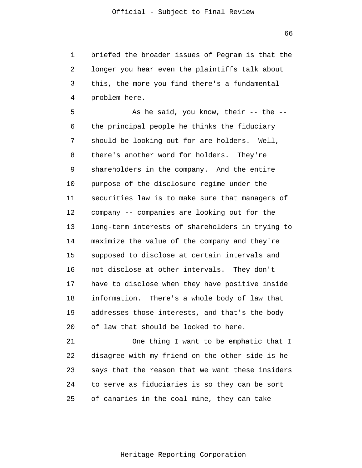1 2 3 4 briefed the broader issues of Pegram is that the longer you hear even the plaintiffs talk about this, the more you find there's a fundamental problem here.

5 6 7 8 9 10 11 12 13 14 15 16 17 18 19 20 As he said, you know, their -- the - the principal people he thinks the fiduciary should be looking out for are holders. Well, there's another word for holders. They're shareholders in the company. And the entire purpose of the disclosure regime under the securities law is to make sure that managers of company -- companies are looking out for the long-term interests of shareholders in trying to maximize the value of the company and they're supposed to disclose at certain intervals and not disclose at other intervals. They don't have to disclose when they have positive inside information. There's a whole body of law that addresses those interests, and that's the body of law that should be looked to here.

21 22 23 24 25 One thing I want to be emphatic that I disagree with my friend on the other side is he says that the reason that we want these insiders to serve as fiduciaries is so they can be sort of canaries in the coal mine, they can take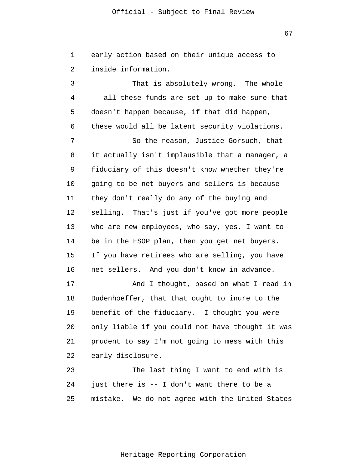1  $\overline{2}$ early action based on their unique access to inside information.

3 4 5 6 7 8 9 10 11 12 13 14 15 16 17 18 19 20 21 22 23 That is absolutely wrong. The whole -- all these funds are set up to make sure that doesn't happen because, if that did happen, these would all be latent security violations. So the reason, Justice Gorsuch, that it actually isn't implausible that a manager, a fiduciary of this doesn't know whether they're going to be net buyers and sellers is because they don't really do any of the buying and selling. That's just if you've got more people who are new employees, who say, yes, I want to be in the ESOP plan, then you get net buyers. If you have retirees who are selling, you have net sellers. And you don't know in advance. And I thought, based on what I read in Dudenhoeffer, that that ought to inure to the benefit of the fiduciary. I thought you were only liable if you could not have thought it was prudent to say I'm not going to mess with this early disclosure. The last thing I want to end with is

24 25 just there is -- I don't want there to be a mistake. We do not agree with the United States

67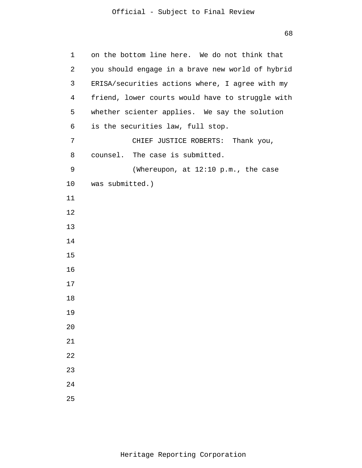| 1  | on the bottom line here. We do not think that    |
|----|--------------------------------------------------|
| 2  | you should engage in a brave new world of hybrid |
| 3  | ERISA/securities actions where, I agree with my  |
| 4  | friend, lower courts would have to struggle with |
| 5  | whether scienter applies. We say the solution    |
| 6  | is the securities law, full stop.                |
| 7  | CHIEF JUSTICE ROBERTS: Thank you,                |
| 8  | counsel. The case is submitted.                  |
| 9  | (Whereupon, at 12:10 p.m., the case              |
| 10 | was submitted.)                                  |
| 11 |                                                  |
| 12 |                                                  |
| 13 |                                                  |
| 14 |                                                  |
| 15 |                                                  |
| 16 |                                                  |
| 17 |                                                  |
| 18 |                                                  |
| 19 |                                                  |
| 20 |                                                  |
| 21 |                                                  |
| 22 |                                                  |
| 23 |                                                  |
| 24 |                                                  |
| 25 |                                                  |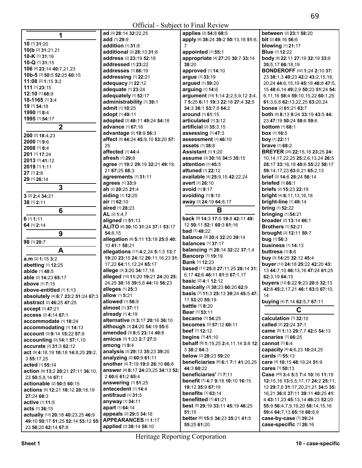| 1                                                        | ad [3] 28:14 32:22,25                                | applies [2] 54:8 68:5                             | <b>between</b> [2] 23:1 58:20                     |
|----------------------------------------------------------|------------------------------------------------------|---------------------------------------------------|---------------------------------------------------|
|                                                          | add [1] 29:9                                         | apply [6] 38:24 39:2 50:13,18 51:6,               | bit [2] 49:16 56:6                                |
| 10 [1] 31:20                                             | addition [1] 31:8                                    | 7                                                 | <b>blowing</b> [1] 21:17                          |
| 10(b [2] 31:21,21                                        | additional [2] 28:13 31:8                            | appointed [1] 55:1                                | <b>Blue</b> [1] 12:22                             |
| 10-K [1] 31:16                                           | <b>address</b> [2] <b>23:19 52:18</b>                | appropriate [4] 27:20 30:7 33:14                  | body [8] 22:11 27:19 32:19 33:6                   |
| 10-Q [1] 31:15                                           | <b>addressed</b> [1] <b>23:22</b>                    | 38:20                                             | 35:5,17 66:18,19                                  |
| 106 [4] 23:14 40:7,21,23                                 | <b>addresses</b> [1] 66:19                           | approved [1] 14:10                                | <b>BONDEROFF</b> [42] 1:24 2:10 37:               |
| 10b-5 [3] 50:5 52:25 60:15                               | addressing [1] 22:21                                 | argue [1] 33:19                                   | 23 38:1,3 40:23 42:2 43:2,15,18,                  |
| 11:08 [2] 1:15 3:2                                       | adequacy [1] 22:12                                   | argued [1] 59:20                                  | 20,24 44:6,15,19 45:18 46:8 47:5,                 |
| 111 [1] 23:15                                            | adequate [1] 23:24                                   | arguing [1] 14:6                                  | 15 48:6,14 49:2,9 50:23 51:24 54:                 |
| 12:10 [1] 68:9                                           | adequately [1] 52:17                                 | argument [18] 1:14 2:2,5,9,12 3:4,                | 6,11,16 58:4 59:10,15,22 60:1,25                  |
| 18-1165 [1] 3:4                                          | administrability [1] 39:1                            | 7 5:25 6:11 19:3 22:18 27:4 32:5                  | 61:3,6,8 62:13,22,25 63:20,24                     |
| 19 [1] 54:18                                             | <b>admit</b> [1] <b>10:</b> 25                       | 34:3 38:1 53:7,8 64:2                             | <b>bones</b> [2] <b>61:</b> 21 <b>63:</b> 7       |
| 1990 [1] 8:4                                             | adopt [1] 49:11                                      | <b>around</b> [1] <b>61:15</b>                    | both [9] 8:13 9:24 33:19 43:5 44:                 |
| 1995 [1] 54:17                                           | adopted [3] 48:11 49:24 54:18                        | articulated [1] 3:12                              | 23 47:19 50:24 58:6 59:6                          |
| $\overline{2}$                                           | advance [1] 67:16                                    | artificial [2] 35:3.15                            | <b>bottom</b> $[1]$ 68:1                          |
|                                                          |                                                      |                                                   |                                                   |
| 200 [2] 18:4,23                                          | advantage [2] 19:9 56:3                              | assessing [1] 47:3                                | <b>box</b> [1] <b>16:</b> 5                       |
| 2000 [1] 9:6                                             | affect [5] 44:24 45:9,10 53:20 57:                   | assessment [1] 46:10                              | boy [1] 22:11                                     |
| 2008 [1] 8:4                                             | 25                                                   | <b>assets</b> [1] 38:8                            | <b>brave</b> [1] 68:2                             |
| 201 [1] 17:24                                            | affected [1] 44:4                                    | <b>Assistant</b> [1] <b>1:20</b>                  | <b>BREYER</b> [26] 22:15,18 23:25 24:             |
| 2013 [1] 41:12                                           | afresh [1] 29:8                                      | <b>assume</b> [3] <b>30:16 34:5 35:15</b>         | 10, 14, 17, 22, 25 25: 2, 6, 13, 24 26: 5         |
| 2019 [1] 1:11                                            | agree [7] 19:2 29:19 32:21 49:19,                    | attention [1] 45:5                                | 28:17 33:16,18 40:6 55:22 58:17                   |
| 27 [1] 2:8                                               | 21 67:25 68:3                                        | attuned [1] 22:12                                 | 59:14,17,23 63:6,21 65:2,13                       |
| 29 [1] 26:14                                             | agreements [1] 31:11                                 | available [4] 25:9,15 42:22,24                    | brief [3] 14:6 28:24 56:14                        |
| 3                                                        | agrees [1] 33:9                                      | avert [1] 26:10                                   | briefed [1] 66:1                                  |
|                                                          | ah [2] 20:25 21:4                                    | avoid [1] 9:17                                    | <b>briefs</b> [2] 15:23 22:19                     |
| 3 [2] 2:4 34:21                                          | aiding [1] 12:25                                     | avoiding [1] 9:10                                 | <b>bright</b> [4] 6:11,13,16,18                   |
| 38 [1] 2:11                                              | air [1] 62:10                                        | away [3] 24:19 64:8,17                            | bright-line [1] 49:14                             |
| 6                                                        | aired [1] 28:23                                      | B                                                 | <b>bring</b> [1] <b>52:22</b>                     |
|                                                          | <b>AL</b> [2] <b>1:4</b> ,7                          |                                                   | <b>bringing</b> [1] 54:21                         |
| 6 [1] <b>1:11</b>                                        | aligned [1] 51:13                                    | back [9] 14:3 17:5 19:8 42:11 49:                 | broader [2] 13:14 66:1                            |
| 64 [1] 2:14                                              | ALITO [6] 30:10 31:24 37:1 53:17                     | 12 50:11 52:1 60:3 61:16                          | <b>Brothers</b> [1] 52:21                         |
| 9                                                        | 54:8,15                                              | <b>bad</b> [1] <b>48:22</b>                       | <b>brought [2] 12:11 50:7</b>                     |
| 98 [1] 20:7                                              | allegation [6] 5:11 13:18 25:8 40:                   | balance [3] 30:4 32:20 39:14                      | bug [1] 56:3                                      |
|                                                          | 10 41:1 58:21                                        | <b>balances</b> [1] 37:17                         | <b>business</b> [1] 14:13                         |
| A                                                        | allegations [17] 4:2,24 5:1,5 13:7                   | <b>balancing</b> [4] 28:14 32:22 37:1,4           | buttress $[1]$ 8:6                                |
|                                                          | 19:20 23:15 24:12 26:11,16,23 31:                    | <b>Bancorp [1] 19:19</b>                          | buy [3] 14:25 32:12 45:4                          |
| a.m [2] 1:15 3:2                                         |                                                      |                                                   |                                                   |
|                                                          | 17,22 64:11,12,24 65:17                              | <b>Bank [1] 12:23</b>                             | buyer [13] 24:18 25:22 42:20 43:                  |
| abetting [1] 12:25                                       | allege [3] 3:20 34:17,18                             | based [11] 25:8 27:11,25 28:14 31:                | 13 44:7,10 46:13,16 47:24 61:25                   |
| abide [1] 48:5<br>able [2] 14:23 65:17                   | alleged [10] 11:20 19:21 24:20 25:                   | 6,17 42:6 46:11 61:5 67:1,17                      | 62:3,19 64:15                                     |
|                                                          |                                                      | <b>basic</b> [2] <b>4:1 12:12</b>                 | buyers [12] 6:22 9:23 20:8 32:13                  |
| <b>above</b> [1] 7:15                                    | 24,25 30:18 39:5,6 44:10 56:23<br>alleges $[1]$ 25:3 | <b>basically</b> [3] 38:23 60:20 62:9             | 42:8 45:2,17,21 46:1 63:5 67:10,                  |
| above-entitled [1] 1:13                                  | allow [1] 5:21                                       | <b>basis</b> [7] <b>11:3 25:13 39:24 45:5 47:</b> |                                                   |
| absolutely [4] 6:7 23:2 51:24 67:3                       | allowed [1] 56:9                                     | 11 53:20 55:19                                    |                                                   |
| abstract [2] 46:25 47:25                                 | almost [1] 37:11                                     | <b>battle</b> [1] 8:20                            | buying [4] 7:14 62:5,7 67:11                      |
| accept [1] 47:21                                         | already $[1]$ 4:19                                   | <b>Bear</b> [1] 53:11                             | C                                                 |
| access [2] 4:14 67:1                                     |                                                      | <b>became</b> [1] <b>54:25</b>                    | calculation [1] 32:10                             |
| accommodate [1] 18:24                                    | alternative [3] 3:17 20:16 36:10                     | <b>becomes</b> [2] 57:12 60:11                    | called [2] 22:24 37:1                             |
| accommodating [1] 14:13                                  | although [3] 24:20 54:19 55:6                        | beef [1] 12:12                                    | came [5] 1:13 29:7,7 42:5 54:13                   |
| account [3] 9:14 15:22 57:8                              | amended [3] 8:5 23:14 40:8                           | begins [1] 41:10                                  | <b>canaries</b> [1] 66:25                         |
| accounting [3] 14:1 57:1,10                              | amicus [3] 1:23 2:7 27:5                             | behalf [9] 1:19,25 2:4,11,14 3:8 12:              | cannot [1] 6:4                                    |
| accurate [2] 31:3 62:12                                  | among [1] 9:4                                        | 3 38:2 64:3                                       | capacity [4] 4:6,23 10:24,25                      |
| act [9] 4:18,19 10:18 14:8,25 29:2,                      | analysis [3] 29:13 35:23 39:20                       | below [2] 28:23 59:20                             | cards [1] 55:13                                   |
| 3 55:17,25                                               | analyzing [2] 60:9 61:11                             | beneficiaries [6] 6:1 7:1 41:20,25                | care [4] 10:15 48:19,24 51:9                      |
| acted [1] 55:14                                          | another [4] 7:19 19:8 26:10 66:8                     | 44:3 60:22                                        | cares [1] 50:13                                   |
| action [9] 13:2 20:21 27:11 36:10,                       | answer [8] 8:17 24:23,25 34:13 52:                   | beneficiaries' [1] 7:11                           | Case [49] 3:4 5:5 7:4 10:16 11:19                 |
| 23 50:5,8,14 67:1                                        | 2 60:6 61:2 65:4                                     | benefit [7] 4:7 9:18 10:10 16:15                  | 12:15,16 13:5,5,17,17 24:2 25:11,                 |
| actionable [2] 50:5 60:15                                | answering [1] 51:25                                  | 19:12 35:9 67:19                                  | 12 29:7,8 31:17,20,21,21 34:5 35:                 |
| actions [6] 12:21 18:12 20:18,19                         | antecedent [1] 14:4                                  | <b>benefits</b> [1] 63:14                         | 16,21 36:8 37:11 39:11 40:25 41:                  |
| 27:24 68:3                                               | antifraud [1] 31:5                                   | <b>benefitted</b> [1] 41:21                       | 4 43:11,23 45:13,14 46:23 52:20                   |
| active [1] 11:5                                          | anyway [1] 34:11                                     | best [5] 29:19 33:11 45:19 46:25                  | 55:9 56:4,7,9,19,20 58:14,15,16                   |
| acts [1] 36:15                                           | apart [1] 64:14                                      | 51:15                                             | 59:4 64:7,13 65:18 68:8,9                         |
| actually [13] 20:18 40:23,25 46:9                        | appeals [2] 29:5 34:16                               | better [6] 15:6 34:23 35:21 41:5                  |                                                   |
| 49:10 50:17 51:25 52:14 53:12 55:<br>23 56:20 62:14 67:8 | APPEARANCES [1] 1:17<br>applied [2] 38:14 58:10      | 55:25 61:20                                       | case-by-case [1] 39:24<br>case-specific [1] 26:16 |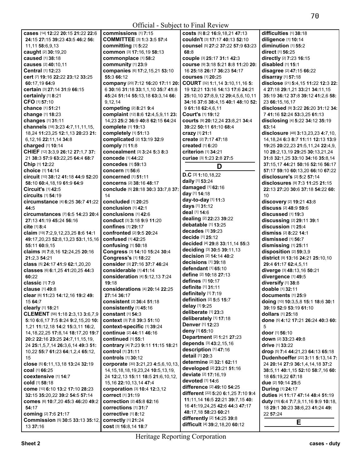| cases [14] 12:22 20:15 21:22 22:6            | commissions [1] 7:15                         | costs [5] 8:2 16:9,18,21 47:13                               | difficulties [1] 38:18                   |
|----------------------------------------------|----------------------------------------------|--------------------------------------------------------------|------------------------------------------|
| 24:15 27:15 39:23 43:5 46:2 56:              | <b>COMMITTEE [3] 1:3 3:5 57:4</b>            | couldn't [3] 17:17 40:13 52:10                               | diligence [1] 10:14                      |
| 11,11 58:6,9,13                              | committing [1] 5:22                          | counsel [5] 27:2 37:22 57:9 63:23                            | diminution [1] 55:2                      |
|                                              |                                              |                                                              |                                          |
| caught [2] 30:19,20                          | common [3] 17:16,19 58:13                    | 68:8                                                         | direct [1] 56:25                         |
| caused [1] 38:18                             | commonplace [1] 58:2                         | couple [3] 25:17 31:1 42:3                                   | directly [2] 7:23 16:15                  |
| causes [2] 40:10,11                          | community [1] 23:9                           | COUISE [9] 3:18 5:21 8:8 11:20 20:                           | disabled $[1]$ 15:1                      |
| <b>Central</b> [1] 12:23                     | companies [6] 17:2,15,21 53:10               | 16 25:18 26:17 36:23 54:17                                   | disagree [2] 47:15 66:22                 |
|                                              |                                              |                                                              |                                          |
| cert [7] 19:16 22:22 23:12 33:25             | 55:3 66:12                                   | <b>courses</b> [1] 20:25                                     | disarray [1] 57:18                       |
| 60:17,19 64:9                                | company [20] 7:12 16:20 17:11 20:            | COURT [32] 1:1,14 3:10,11,16 5:                              | disclose [21] 5:4,15 11:22 12:3 22:      |
| certain [3] 27:14 31:9 66:15                 | 6 30:16 31:18 33:1,1,10 35:7 41:8            | 19 12:21 13:16 14:13 17:6 24:21                              | 4 27:18 29:1,21 33:21 34:11,15           |
|                                              |                                              |                                                              |                                          |
| certainly [1] 8:21                           | 45:24 51:14 55:13,18 63:3,14 66:             | 25:10,10 27:8,9,12 29:4,5,6,10,11                            | 35:19 36:12 37:8 39:12 41:2,6 58:        |
| CFO [1] 57:10                                | 9,12,14                                      | 34:16 37:6 38:4,15 40:1 48:10 52:                            | 23 66:15,16,17                           |
| chance [1] 51:21                             | competing [2] 8:21 9:4                       | 9 61:18 62:4,6,11                                            | disclosed [9] 3:22 26:20 31:12 34:       |
| change [1] 18:23                             | complaint [12] 8:6 12:4,5,9,11 23:           | Court's [1] 19:12                                            | 7 41:16 52:24 53:3,25 61:13              |
|                                              |                                              |                                                              |                                          |
| changes [1] 31:11                            | 14,23 25:2 36:9 40:8 62:15 64:24             | courts [9] 20:12,24 23:8,21 34:4                             | disclosing [4] 5:22 34:12 35:19          |
| channels [18] 3:23 4:7,11,11,15,             | complete [1] 19:13                           | 39:22 50:11 61:10 68:4                                       | 63:14                                    |
| 18,24 11:23,25 12:1,13 20:23 21:             | completely [1] 51:13                         | crazy [1] 21:1                                               | disclosure [48] 3:13,23,23 4:7,10,       |
|                                              |                                              |                                                              |                                          |
| 6,12,16 22:11,14 34:8                        | complicated [2] 13:19 32:9                   | create [2] 7:17 47:18                                        | 14, 18, 24 6: 3 8: 7 11: 11 12: 13 13: 9 |
| charged [1] 10:14                            | comply [1] 11:8                              | <b>created</b> [1] 6:20                                      | 19:25 20:22,23 21:5,11,24 22:4,9,        |
| CHIEF [12] 3:3,9 26:12 27:1,7 37:            | concealment [3] 3:24 5:3 8:3                 | criterion [1] 34:21                                          | 10 28:2,13,19 29:25 30:13,21,24          |
|                                              |                                              |                                                              |                                          |
| 21 38:3 57:9 63:22,25 64:4 68:7              | concede [1] 44:22                            | curiae [3] 1:23 2:8 27:5                                     | 31:8 32:1.25 33:10 34:16 35:8.14         |
| Chip [1] 12:22                               | concedes [1] 59:13                           | D                                                            | 37:15,17 44:21 50:16 52:16 56:17         |
| choice [1] 14:14                             | concern [1] 56:6                             |                                                              | 57:17 59:10 60:13,20 66:10 67:22         |
| circuit [10] 38:12 41:18 44:9 52:20          | concerned [1] 51:11                          | $D.C$ [3] 1:10,18,22                                         | disclosure's [2] 5:2 57:14               |
|                                              |                                              | daily [1] 53:24                                              |                                          |
| 58:10 60:4,18,19 61:9 64:9                   | <b>concerns</b> [2] 38:16 48:17              |                                                              | disclosures [9] 7:3 11:25 21:15          |
| Circuit's [1] 42:5                           | conclude [5] 28:18 30:3 33:7,8 37:           | damaged [1] 62:16                                            | 22:13 27:20 30:6 37:18 54:22 60:         |
| circuits [1] 54:19                           | 14                                           | day [1] 14:18                                                | 10                                       |
|                                              |                                              | day-to-day [1] 11:3                                          |                                          |
| circumstance [4] 6:25 36:7 41:22             | concluded [1] 20:25                          | days [1] 31:12                                               | discovery [2] 19:21 43:8                 |
| 44:5                                         | conclusion [1] 42:1                          |                                                              | discuss [2] 48:9 59:6                    |
| <b>circumstances</b> [7] 6:5 14:23 20:4      | conclusions [1] 42:6                         | deal [1] 14:6                                                | discussed $[1]$ 19:3                     |
| 27:13 41:19 45:24 56:16                      | <b>conduct</b> [3] <b>3:18 9:9 11:20</b>     | dealing [2] 22:23 39:22                                      | discussing [2] 29:11 39:1                |
|                                              |                                              | debatable [1] 13:25                                          |                                          |
| cite [1] 8:4]                                | <b>confines</b> [1] 29:17                    |                                                              | discussion [1] 25:4                      |
| claim [19] 7:2,9,12,23,25 8:6 14:1           | <b>confronted</b> [2] 9:5 20:24              | decades [1] 39:23                                            | dismiss [2] 8:22 14:1                    |
| 49:17,20,23 52:8,13,23 53:1,15,16            | <b>confused</b> [1] 42:25                    | decide [1] 25:12                                             | dismissed [1] 56:7                       |
|                                              |                                              | decided [4] 29:8 33:11,14 55:3                               |                                          |
| 55:11 60:9,15                                | confusing [1] 50:18                          |                                                              | dismissing [1] 25:11                     |
| claims [8] 7:8,16 12:24,25 20:16             | Congress [3] 14:10 15:24 30:4                | deciding [3] 30:5 39:11,13                                   | disposition [2] 59:3,9                   |
| 21:2,3 54:21                                 | <b>Congress's [1] 18:22</b>                  | decision [2] 14:14 40:2                                      | district [9] 13:16 24:21 25:10,10        |
| class [5] 24:17 41:9 62:1,20,20              | consider [3] 27:16 37:7 46:24                | decisions [1] 39:18                                          | 29:4 61:17 62:4,5,11                     |
|                                              |                                              | defendant [1] 65:10                                          |                                          |
| classes [6] 6:1,25 41:20,25 44:3             | considerable [1] 41:14                       |                                                              | diverge [3] 48:13,16 50:21               |
| 60:22                                        | consideration [4] 5:12,13 7:24               | define [2] 10:18 27:13                                       | divergence [1] 49:5                      |
| classic [1] 7:9                              | 19:18                                        | defines [1] 10:17                                            | diversify [1] 38:8                       |
|                                              |                                              | definite [1] 31:11                                           |                                          |
| <b>clause</b> [1] 49:8                       | considerations [4] 20:14 22:25               |                                                              | doable [1] 32:11                         |
| clear [6] 11:23 14:12,16 19:2 49:            | 27:14 36:17                                  | definitely [1] 7:19                                          | documents [1] 25:9                       |
| 15 64:7                                      | consistent [2] 36:4 51:18                    | definition [2] 5:5 15:7                                      | doing [10] 10:3,5,8 15:1 18:6 30:1       |
|                                              | consistently [1] 45:16                       | delay [1] 9:25                                               | 39:19 52:9 53:19 61:10                   |
| clearly [1] 18:21                            |                                              | deliberate [1] 23:3                                          |                                          |
| CLEMENT [56] 1:18 2:3,13 3:6,7,9             | constant [1] 54:3                            | deliberately [1] 17:18                                       | dollars [1] 25:18                        |
| 5:10 6:6,17 7:5 8:24 9:2,15,20 10:           | context [3] 7:8 39:3 51:10                   |                                                              | done [5] 4:12 17:21 26:24 40:3 60:       |
| 1,21 11:12,18 14:2 15:3,11 16:2,             |                                              |                                                              |                                          |
|                                              |                                              | Denver [1] 12:23                                             |                                          |
|                                              | context-specific [1] 39:24                   |                                                              | 5                                        |
| 14, 18, 22, 25 17: 8, 14 18: 17, 20 19: 7    | continue [2] 44:11 46:16                     | deny [1] 65:10                                               | door [1] 56:10                           |
| 20:2 22:16 23:25 24:7,11,15,19,              | <b>continued</b> [1] 55:1                    | Department [2] 1:21 27:23                                    | <b>down</b> [2] 33:23 49:8               |
|                                              |                                              | depends [3] 43:2,15,16                                       |                                          |
| 24 25:1,5,7,14 26:3,6,14 49:3 51:            | contrary [4] 7:23 9:11 11:15 18:21           |                                                              | <b>drive</b> [1] <b>33:22</b>            |
| 10.22 55:7 61:23 64:1.2.4 65:12.             | control [1] 31:11                            | description [1] 47:16                                        | drop [5] 7:4 44:21,23 64:13 65:18        |
| 15                                           | controls [1] 30:12                           | detail [1] 20:3                                              | Dudenhoeffer [22] 3:11 5:13,14 7:        |
|                                              |                                              | determine [2] 32:1 62:11                                     | 24 20:14 27:9 36:1,4,14,18 37:2          |
| close [5] 6:11, 13, 18 13:24 32:19           | corporate [30] 3:21,23 4:5,6,10,13,          | developed [2] 23:21 51:16                                    |                                          |
| <b>coal</b> [1] 66:25                        | 14, 15, 18, 18, 19, 23, 24 10: 5, 13, 19,    |                                                              | 38:5,11 40:1,15 52:10 58:7,16 60:        |
| coextensive [1] 14:7                         | 24 12:2,13 15:11 18:5 21:6,10,12,            | deviate [2] 17:16,19                                         | 18 65:19,22 67:18                        |
| <b>cold</b> [1] 58:18                        | 15, 16 22: 10, 13, 14 47: 4                  | devoted [1] 14:6                                             | due [2] 10:14 25:5                       |
|                                              |                                              | difference [2] 49:10 54:25                                   |                                          |
| come [10] 6:10 13:2 17:10 28:23              | corporation [3] 10:4 12:3,12                 |                                                              | <b>During</b> [1] 24:17                  |
| 32:15 35:20,22 39:2 54:5 57:14               | correct [1] 31:19                            | different [22] 5:20 6:1,25 7:10 9:4                          | duties [4] 11:17 47:14 48:4 51:19        |
| comes [6] 10:7,20 45:3 46:20 49:2            | correction [2] 45:8 62:16                    | 11:11,14 16:5 22:21 39:7,15 40:                              | duty [15] 6:4 7:7,9,11,16 9:9 10:18,     |
| 54:17                                        | corrections [1] 31:7                         | 16 41:19,24,25 42:6 44:3 47:17                               | 18 29:1 30:23 38:6,23 41:24 49:          |
|                                              |                                              | 48:17,18 58:23 60:21                                         |                                          |
| coming [2] 7:6 21:17                         | corrective [1] 8:12                          |                                                              | 22 57:24                                 |
| Commission [5] 30:5 33:13 35:12,<br>13 37:16 | correctly [1] 21:24<br>COSt [3] 16:8,14 18:7 | differently [2] 14:25 39:8<br>difficult [4] 39:2,18,20 60:12 | Е                                        |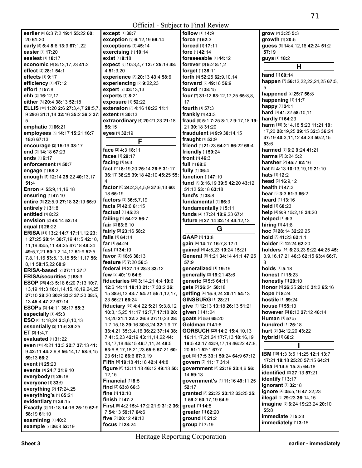| earlier [6] 6:3 7:2 19:4 55:22 60:           | except [1] 38:7                         | follow [1] 14:9                      |
|----------------------------------------------|-----------------------------------------|--------------------------------------|
| 20 61:20                                     | exception [3] 6:12,19 56:14             | force [1] 52:3                       |
| early [5] 5:4 8:6 13:9 67:1,22               | exceptions [1] 45:14                    | <b>forced</b> [1] 17:11              |
| easier [1] 17:20                             | exercising [1] 10:14                    | fore [1] 42:14                       |
|                                              | exist [1] 8:18                          |                                      |
| easiest [1] 18:17                            |                                         | foreseeable [1] 44:12                |
| economic [4] 8:13,17,23 41:2                 | expect [8] 10:3,4,7 12:7 25:19 48:      | forever [3] 5:2 8:1,2                |
| effect [2] 28:1 54:1                         | 4 51:3,20                               | forget [1] 38:11                     |
| effects [1] 9:17                             | experience [3] 20:13 43:4 58:6          | forth [4] 52:25 62:9,10,14           |
| efficiency [1] 47:12                         | experiencing [2] 9:22,23                | forward [2] 49:16 56:9               |
| effort [1] 57:8                              | expert [2] 33:13,13                     | found [1] 38:15                      |
| ehh [2] 16:12,17                             | experts [1] 8:21                        | four [7] 31:12 63:12,17,25 65:8,8,   |
| either [3] 20:4 38:13 52:18                  | exposure [1] 52:22                      | 17                                   |
|                                              |                                         |                                      |
| ELLIS [15] 1:20 2:6 27:3,4,7 28:5,7,         | extension [3] 4:16 10:22 11:1           | fourth [1] 57:3                      |
| 9 29:6 31:1,14 32:16 35:2 36:2 37:           | extent [1] 30:13                        | frankly [1] 43:3                     |
| 5                                            | extraordinary [4] 20:21,23 21:18        | fraud [9] 5:1 7:25 8:1,2 9:17,18 19: |
| emphatic [1] 66:21                           | 56:15                                   | 21 30:18 31:20                       |
| employees [5] 14:17 15:21 16:7               | eyes [1] 32:19                          | fraudulent [3] 9:9 30:14,15          |
| 18:6 67:13                                   | F                                       | fraught [1] 53:9                     |
| encourage [2] 15:19 38:17                    |                                         | friend [4] 21:23 64:21 66:22 68:4    |
| end [2] 14:18 67:23                          | face [2] 4:3 18:11                      | friendly [1] 59:24                   |
|                                              | faces [1] 29:17                         |                                      |
| ends [1] 6:17                                | facing $[1]$ 9:3                        | front [1] 46:3                       |
| enforcement [1] 50:7                         |                                         | full [1] 68:6                        |
| engage [1] 68:2                              | fact [11] 8:19,20 25:14 26:8 31:17      | fully [1] 36:4                       |
| enough [5] 12:14 25:22 40:13,17              | 36:17 38:25 39:18 42:10 45:25 55:       | function [1] 47:10                   |
| 51:4                                         | 4                                       | fund [8] 3:16,19 39:5 42:20 43:12    |
| Enron [4] 55:9,11,16,18                      | factor [9] 24:2,3,4,5,9 37:6,13 60:     | 51:12 53:18 63:18                    |
| ensuring [1] 47:10                           | 18 65:19                                | fund's [1] 38:8                      |
| entire [5] 22:5,9 27:18 32:19 66:9           | factors [3] 36:5,7,19                   | fundamental [1] 66:3                 |
|                                              | facts [2] 42:6 61:15                    |                                      |
| entirely [1] 31:8                            | factual [1] 45:23                       | fundamentally [1] 5:11               |
| entitled [1] 8:22                            |                                         | funds [4] 17:24 18:9,23 67:4         |
| envision [2] 48:14 52:14                     | failing [2] 54:22 56:7                  | future [4] 27:14 32:14 44:12,13      |
| equal [1] 26:22                              | fair [2] 63:6,10                        |                                      |
|                                              |                                         |                                      |
|                                              | fairly [2] 23:16 58:2                   | G                                    |
| ERISA [41] 13:2 14:7 17:11,12 23:            | falls [1] 64:14                         | GAAP [1] 13:8                        |
| 1 27:25 28:14 38:7,19 41:5 42:10,            | far [1] 54:24                           | gain [4] 14:17 16:7,8 17:1           |
| 11, 19 43: 5, 11 44: 25 47: 18 48: 24        | fast $[1]$ 34:19                        | gained [4] 4:5,23 10:24 15:21        |
| 49:5,7,21 50:1,2,14,17 51:9 52:5,            |                                         |                                      |
| 7,8,11,16 53:5,13,15 55:11,17 56:            | favor [2] 18:6 38:13                    | General [5] 1:21 34:14 41:1 47:25    |
| 8,11 58:15,22 60:9                           | feature [2] 7:20 56:3                   | 57:9                                 |
| ERISA-based [2] 27:11 37:7                   | federal [3] 27:19 28:3 33:12            | generalized [1] 19:19                |
| ERISA/securities [1] 68:3                    | few [2] 40:19 64:5                      | generally [2] 19:21 43:6             |
| ESOP [25] 4:3 5:18 6:20 7:13 10:7.           | fiduciaries [20] 3:14,21 4:4 10:6       | generic [2] 5:5 64:11                |
|                                              | 12:6 14:11 18:13 21:17 33:2 36:         | gets [2] 26:24 50:18                 |
| 13, 19 11:3 18:1, 14, 15, 18, 19, 24, 25     | 15 38:6,13 43:7 54:21 55:1,12,17,       | getting [4] 15:9,24 20:11 54:13      |
| 27:10 28:20 30:9 33:2 37:20 38:5,            | 23 56:21 66:24                          | <b>GINSBURG [1] 28:21</b>            |
| 13 45:4 47:22 67:14                          |                                         | give [4] 12:13 13:18 26:13 51:21     |
| ESOPs [3] 14:11 38:17 55:3                   | fiduciary [65] 4:4,22 5:21 9:3,8,12     |                                      |
| especially [1] 45:3                          | 10:3,15,25 11:17 12:7,7 17:18 20:       | given [1] 41:24                      |
| ESQ [6] 1:18,24 2:3,6,10,13                  | 18,20 21:1 22:2 26:6 27:10,23 28:       | goats [2] 5:6 65:20                  |
| essentially [2] 11:6 39:25                   | 1,7,15,18 29:16 30:3,24 32:1,9,17       | Goldman [1] 41:8                     |
| ET [2] 1:4,7                                 | 33:4,21 35:3,4,16 36:22 37:14 38:       | <b>GORSUCH [23] 14:2 15:4,10,13</b>  |
| evaluated [1] 31:22                          | 7 41:5,23 42:19 43:11,14,22 44:         | 16:11,17,21,24 17:7,13 18:16,19      |
| even [15] 4:21 13:3 22:7 37:13 41:           | 13, 17, 18 45: 15 46: 7, 11, 24 48: 5   | 19:5 42:17 43:9,17,19 46:22 47:8,    |
|                                              | 53:6,8,17,18,21,23 55:5 57:21 60:       | 20 51:1 52:1 67:7                    |
| 9 42:11 44:2,6,8 56:14,17 58:9,15            | 23 61:12 66:6 67:9,19                   | got [5] 17:5 33:1 50:24 64:9 67:12   |
| 59:13 66:2                                   |                                         | govern [2] 11:17 31:4                |
| event [1] 25:23                              | Fifth [4] 19:18 41:18 42:4 44:8         |                                      |
| events [3] 24:7 31:9,10                      | figure [6] 13:11, 13 46:12 49:13 50:    | government [5] 22:19 23:4,6 56:      |
| everybody [1] 29:18                          | 12,15                                   | 14 59:13                             |
| everyone [1] 33:9                            | Financial [1] 8:5                       | government's [4] 11:16 49:11,25      |
| everything [2] 17:24,25                      | find [2] 63:8 66:3                      | 52:17                                |
| everything's [1] 65:21                       | fine [1] 12:10                          | granted [8] 22:22 23:12 33:25 35:    |
|                                              | finish [1] 47:2                         | 1 59:2 60:17,19 64:9                 |
| evidentiary [1] 38:15                        | First [9] 4:2 15:4 17:2 21:9 31:2 36:   | great [1] 14:5                       |
| Exactly [6] 11:18 14:16 25:19 52:9           | 7 54:13 59:17 64:6                      |                                      |
| 58:19 61:10                                  |                                         | greater [1] 62:20                    |
| examining [1] 40:2<br>example [2] 36:8 52:19 | five [2] 20:12 49:12<br>focus [1] 28:24 | ground [1] 21:2<br>group [1] 7:19    |

**fraud** [9] **5:**1 **7:**25 **8:**1,2 **9:**17,18 **19: grow** [2] **3:**25 **5:**3 **growth** [1] **20:**5 **guess** [6] **14:**4,12,16 **42:**24 **51:**2 **57:**19 **guys** [1] **18:**2 **H hand** [1] **60:**14 **happen** [7] **56:**12,22,22,24,25 **67:**5, 5 **happened** [2] **25:**7 **56:**8 **happening** [1] **11:**7 **happy** [1] **24:**1 **hard** [3] **41:**22 **58:**10,11 **hardly** [1] **64:**23 **harm** [19] **3:**14,18 **5:**23 **11:**21 **19:**  17,20 **28:**19,25 **29:**15 **32:**3 **36:**24 **37:**19 **40:**3,11,12 **44:**23 **50:**2,15 **53:**6 **harmed** [3] **6:**2 **9:**24 **41:**21 **harms** [2] **3:**24 **5:**2 **harsher** [2] **45:**7 **62:**16 **hat** [5] **4:**13 **10:**13,19,19 **21:**10 **hats** [1] **12:**2 **head** [2] **16:**9,12 **health** [1] **47:**3 **hear** [3] **3:**3 **51:**3 **66:**2 **heard** [1] **13:**16 **held** [1] **60:**23 **help** [4] **9:**9 **15:**2,18 **34:**20 **helped** [1] **6:**3 **hiring** [1] **41:**8 **hoc** [3] **28:**14 **32:**22,25 **hold** [3] **41:**23 **62:**1,1 **holder** [2] **12:**24 **62:**20 **holders** [14] **6:**23,23 **9:**22 **44:**25 **45:**  3,9,16,17,21 **46:**3 **62:**15 **63:**4 **66:**7, 8 **holds** [1] **5:**18 **honest** [1] **15:**23 **honestly** [1] **20:**10 **Honor** [4] **26:**25 **28:**10 **31:**2 **65:**16 **hope** [1] **8:**24 **hostile** [1] **59:**24 **house** [1] **55:**13 **however** [3] **8:**13 **27:**12 **46:**14 **Human** [1] **57:**5 **hundred** [1] **25:**18 **hurt** [3] **34:**12,20 **43:**22 **hybrid** [1] **68:**2 **I IBM** [10] **1:**3 **3:**5 **11:**25 **12:**1 **13:**7 **17:**21 **18:**18 **25:**20 **57:**15 **64:**21 **idea** [3] **14:**9 **15:**25 **64:**18 **identified** [2] **27:**13 **57:**21 **identify** [1] **3:**17 **ignorant** [1] **32:**18 **ignore** [4] **35:**5,16 **47:**22,23

**illegal** [3] **29:**23 **36:**14,15 **imagine** [5] **6:**24 **19:**23,24 **20:**10

**immediate** [1] **5:**23 **immediately** [1] **3:**15

**55:**8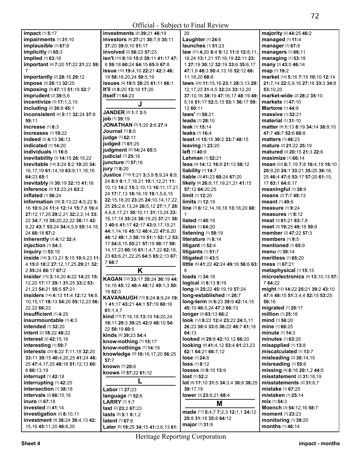| <b>impact</b> [1] <b>5:17</b>           | <b>investments</b> [2] 39:21 46:19                 | 20                                    | majority [2] 44:25 46:2                   |
|-----------------------------------------|----------------------------------------------------|---------------------------------------|-------------------------------------------|
| impairments [1] 31:10                   | investors [8] 27:21 30:7,8 35:11                   | Laughter [1] 24:6                     | managed [1] 11:4                          |
| implausible [1] 67:8                    | 37:20 39:9.10 51:17                                | launches [1] 51:23                    | manager [1] 67:8                          |
| implicitly [1] 65:3                     | <b>involved</b> [2] <b>56:23 57:23</b>             | law [31] 4:20 8:4 9:12 11:8 12:8,11,  | managers [1] 66:11                        |
|                                         |                                                    |                                       |                                           |
| implied [1] 63:18                       | <b>isn't</b> [10] <b>8:19 15:8 39:11 41:17 47:</b> | 18,24 13:1,21 17:16,19 22:11 23:      | managing [1] 53:18                        |
| important [4] 7:20 17:22 21:22 59:      | 8 59:18 60:24 64:15 65:9 67:8                      | 1 27:19 30:12 32:19 33:6 35:6.17      | many [2] 43:5 46:14                       |
|                                         | issue [10] 19:4, 10 22:21 42:3 46:                 | 47:1,9 48:3 50:4,13,16 52:12 66:      | map [1] 19:2                              |
| importantly [2] 28:16 29:12             | 19 58:18,20,24 59:5,19                             | 11,18,20 68:6                         | market [14] 5:16 7:15 10:10 12:14         |
| impose [2] 28:13 32:25                  | issues [4] 19:5 38:25 61:11 66:1                   | laws [28] 11:15,16 23:1 28:3,13 29:   | 21:7,14 22:5,9,16 27:18 33:3 34:8         |
| imposing [3] 47:13 51:19 52:7           | It'll [3] 8:20 13:19 17:20                         | 12, 17, 23 31: 4, 5 32: 24 33: 12, 20 | 53:10,20                                  |
| imprudent [2] 39:5,6                    | itself [1] 64:23                                   | 37:10,16 38:19 47:16,17 48:19 49:     | market-wide [2] 28:2 35:10                |
|                                         |                                                    |                                       |                                           |
| incentivize [3] 17:1,3,15               | J                                                  | 5,18 51:17 52:5,15 53:1 56:17 59:     | markets [1] 47:10                         |
| including [2] 30:8 45:1                 |                                                    | 12 60:11                              | <b>Martone</b> [1] <b>44:9</b>            |
| inconsistent [4] 5:11 32:24 37:8        | JANDER [2] 1:7 3:5                                 | laws' [1] 58:21                       | <b>massive</b> [1] <b>52:21</b>           |
| 59:11                                   | job [1] 39:19                                      | leads [1] 28:10                       | <b>material</b> [1] <b>31:10</b>          |
| increase $[1]$ 8:3                      | JONATHAN [3] 1:20 2:6 27:4                         | leak [1] 15:14                        | matter [9] 1:13 8:19 34:14 38:9,10        |
|                                         | Journal [1] 8:5                                    | leaks [1] 16:4                        |                                           |
| <b>increases</b> [1] <b>19:22</b>       | judge [1] 62:11                                    |                                       | 47:7 48:7 52:6 60:8                       |
| <b>indeed</b> [2] <b>4:13 36:13</b>     |                                                    | least [4] 15:15 30:2 33:7 48:15       | <b>matters</b> [1] 48:23                  |
| <b>indicated</b> [1] <b>14:20</b>       | judged [1] 61:25                                   | <b>leaving</b> $[1]$ 23:20            | mature [2] 21:22 25:19                    |
| individuals [1] 18:8                    | judgment [2] 14:24 65:5                            | left [1] 40:9                         | <b>matured</b> [3] <b>20:15 21:3 22:6</b> |
| inevitability [3] 14:15 26:15,22        | judicial [1] 25:16                                 | Lehman [1] 52:21                      | maximize [1] 66:14                        |
| inevitable [14] 3:24 5:2 19:20 34:      | juncture [1] 57:16                                 | less [4] 14:12 16:9 21:13 58:12       | mean [22] 6:7,19 7:8 16:4,19 19:10        |
|                                         | jury [1] 8:20                                      |                                       |                                           |
| 16, 17, 19 61: 14, 19 63: 9, 11, 16, 16 | Justice [114] 1:21 3:3.9 5:9.24 6:9.               | liability [1] 14:7                    | 20:9,20 24:1 33:21 35:25 36:16,           |
| 64:23 65:1                              |                                                    | liable [3] 41:23 60:24 67:20          | 25 46:4 47:8 53:17 57:20 61:15,           |
| inevitably [3] 30:19 32:15 41:16        | 24 8:9 9:1,7,16,21 10:1,12,21 11:                  | likely [9] 26:8,17,19,21,21 41:15     | 17 63:1 64:6,17                           |
| inference [3] 13:23,24 63:2             | 10,13 14:2 15:3,10,13 16:11,17,21,                 | 57:12 64:20,25                        | meaningful [1] 38:9                       |
| inflated [1] 56:24                      | 24 17:7,13 18:16,19 19:1,5,6,15                    | limit [1] 12:20                       | means [2] 7:7 49:13                       |
| information [39] 3:13,22 4:5,22 5:      | 22:15,18,20 23:25 24:10,14,17,22,                  | limits [1] 12:19                      | <b>meant</b> [1] 49:6                     |
|                                         | 25 25:2,6,13,24 26:5,12 27:1,7 28:                 |                                       |                                           |
| 16 10:9,24 11:4 12:14 15:7,8 16:4       | 4, 6, 8, 17, 21 30: 10, 11 31: 13, 24 33:          | line [7] 6:12,14,16,18 13:18,20 68:   | measure $[1]$ 9:24                        |
| 27:12,17,25 29:2,21 32:2,2,14 33:       |                                                    | $\mathbf{1}$                          | measures $[1]$ 8:12                       |
| 22 34:7,18 35:20,22,22 36:11 42:        | 16, 17, 18 35: 24 36: 19, 25 37: 21 38:            | <b>listed</b> [1] 40:19               | meat [3] 61:21 63:7,8                     |
| 9,22 43:7 53:24 54:4,5,9 55:14,18,      | 3 40:6 41:17 42:17 43:9,17,19,21                   | listen [1] 64:20                      | meet [3] 19:25 49:18 50:8                 |
| 24 66:18 67:2                           | 44:1,14,16 45:12 46:4,22 47:8,20                   | listening [1] 58:19                   | member [2] 47:22 57:3                     |
| inherently [2] 4:12 32:4                | 48:12 49:1,3 50:19 51:1 52:1,2 53:                 | literature [1] 8:14                   | members [1] 9:5                           |
|                                         | 17 54:8,15 55:21 57:19 58:17 59:                   |                                       |                                           |
| injection [1] 54:3                      | 14, 17, 23 60: 16 61: 1, 4, 7, 22 62: 18,          | litigant [1] 52:4                     | mentioned [1] 65:9                        |
| inquiry [1] 53:15                       |                                                    | litigants [1] 51:7                    | menu [1] 39:14                            |
| inside [16] 3:13,21 5:15 10:9,23 11:    | 23 63:6,21,22,25 64:5 65:2,13 67:                  | litigated [1] 43:5                    | meritless [1] 65:20                       |
| 4 15:8 18:2 27:12,17,25 29:21 32:       | 768:7                                              | little [5] 41:22 42:24 49:16 56:6 63: | mess [1] 67:21                            |
| 2 55:24 66:17 67:2                      | Κ                                                  | 8                                     | metaphysical [1] 15:15                    |
| insider [15] 3:14,20 4:22 14:25 15:     |                                                    | loads [1] 34:18                       | microelectronics [4] 13:10,13 57:         |
|                                         | KAGAN [12] 33:17 35:24 36:19 44:                   |                                       |                                           |
| 12,20 17:17 29:1 31:25 33:2 53:         | 14, 16 45: 12 46: 4 48: 12 49: 1, 3 50:            | logical [2] 8:13 9:19                 | 7 64:22                                   |
| 21,23 54:21 55:5 57:21                  | 19 52:3                                            | long [4] 25:22 45:19,19 57:24         | might [12] 14:22 25:21 39:2 43:10         |
| insiders [14] 4:13 11:4 12:12 14:8,     | KAVANAUGH [12] 5:24 6:9,24 19:                     | long-established [1] 26:7             | 47:4 48:15 51:3,4,4 52:15 53:25           |
| 10, 15, 17 18: 13 54: 25 55: 12, 23 56: |                                                    | long-term [9] 6:23 39:9 42:14,15      | 56:16                                     |
| 22,22 66:23                             | 141:17 43:21 44:1 57:19 60:16                      | 45:10 46:5,24 47:3 66:13              | migrated [1] 20:17                        |
| insufficient [1] 4:25                   | 61:1,4,7                                           | longer [2] 63:13 66:2                 | million [1] 25:18                         |
|                                         | kind [13] 7:16,18 13:19 14:20,24                   |                                       |                                           |
| insurmountable [1] 4:3                  | 18:11 20:3 39:25 42:9 48:10 54:                    | look [12] 9:22 12:4 23:22 24:5.11     | mind $[1]$ 56:20                          |
| intended [1] 32:20                      | 22 58:19 60:5                                      | 26:23 30:4 33:6 36:22 46:7 61:18      | mine [1] 66:25                            |
| <b>intent</b> [2] <b>18:22 48:22</b>    | kinds [2] 39:23 54:4                               | 64:13                                 | <b>minute</b> $[1]$ 14:3                  |
| <b>interest</b> [2] 42:15,16            | know-nothing [1] 15:17                             | looked [4] 29:8 42:10,12 66:20        | <b>minutes</b> $[1]$ 63:25                |
| interesting [1] 59:7                    |                                                    | looking [9] 41:4,12 53:4 61:23,23     | misapplied $[1]$ 13:8                     |
| interests [20] 6:22 7:11,18 32:20       | know-nothings [1] 14:19                            | 62:1 64:21 66:7,12                    | miscalculated [1] 13:7                    |
|                                         | knowledge [5] 10:16,17,20 56:25                    |                                       | misleading [2] 30:14,15                   |
| 33:11 39:15 40:4,20,25 41:24 46:        | 57:7                                               | lose [1] 24:8                         |                                           |
| 25 47:4,17,25 48:18 51:12,13 60:        | known [1] 20:6                                     | $loss$ [1] 8:12                       | misreading [1] 55:6                       |
| 8 66:13,19                              | knows [2] 57:22 61:12                              | losses [2] 9:10 13:9                  | missing [4] 8:16 20:1,2 44:5              |
| interrupt [1] 42:18                     |                                                    | $lost$ [1] $52:2$                     | misstatement [2] 31:18,19                 |
| interrupting [1] 42:25                  |                                                    | lot [8] 17:10 31:5 34:3,4 36:8 38:25  | misstatements [2] 31:6,7                  |
| intersection [1] 38:18                  | Labor [1] 27:23                                    | 39:17.19                              | mistake [1] 67:25                         |
| intervals [2] 66:15,16                  |                                                    | lower [3] 23:8,21 68:4                | <b>mistaken</b> [1] <b>25:14</b>          |
|                                         | language [1] 52:6                                  |                                       |                                           |
| inure [1] 67:18                         | <b>LARRY</b> [1] 1:7                               | Μ                                     | mix [1] 54:3                              |
| invested [1] 41:14                      | <b>last</b> [2] 23:2 67:23                         |                                       | Moench [3] 54:12,16 58:7                  |
| investigation [2] 8:10,11               | lasts [3] 5:1 8:1,2                                | made [11] 5:4,7 7:2,3 12:1,1 24:12    | moment [1] 23:23                          |
| investment [9] 38:24 39:4,13 42:        | <b>latent</b> [1] <b>67:</b> 6                     | 25:8 31:18 35:8 64:12                 | monitoring [1] 39:20                      |
| 15, 16 45: 11, 20 46: 6, 20             | Later [6] 19:25 34:15 41:3,6,13 61:                | major [1] 31:9                        | months [1] 46:14                          |
|                                         |                                                    |                                       |                                           |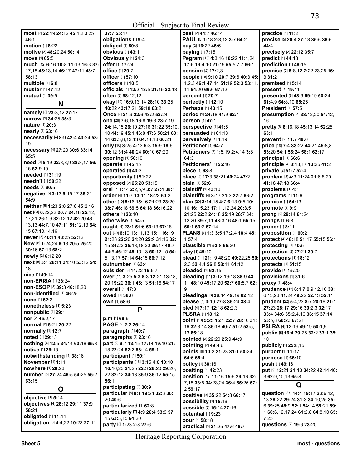| most [7] 22:19 24:12 45:1,2,3,25       | 37:7 55:17                           | past [2] 44:7 46:14                 | practice [1] 11:2                       |
|----------------------------------------|--------------------------------------|-------------------------------------|-----------------------------------------|
| 46:1                                   | obligations [1] 9:4                  | PAUL [5] 1:18 2:3,13 3:7 64:2       | precise [5] 20:4 27:13 35:6 36:6        |
| motion [1] 8:22                        | obliged [1] 50:8                     | pay [2] 16:22 45:5                  | 44:4                                    |
|                                        |                                      |                                     |                                         |
| motive [3] 48:20,24 50:14              | obvious [1] 43:1                     | paying [1] 7:15                     | precisely [2] 22:12 35:7                |
| move [1] 65:5                          | Obviously [1] 24:3                   | Pegram [13] 4:3,16 10:22 11:1,24    | predict [1] 44:13                       |
| much [12] 6:16 10:8 11:13 16:3 37:     | offer [1] 17:24                      | 17:6 19:4,10 21:19 55:5,7,7 66:1    | prediction [1] 46:15                    |
| 17, 18 45: 13, 14 46: 17 47: 11 48: 7  | <b>office</b> [1] 29:7               | pension [2] 17:2,3                  | premise [7] 5:8,12 7:22,23,25 16:       |
|                                        |                                      |                                     |                                         |
| 58:13                                  | officer [1] 57:10                    | people [16] 9:10 20:7 39:6 40:3 45: | 331:2                                   |
| multiple [1] 6:8                       | officers [1] 10:5                    | 1,2,3 46:1 47:14 51:19 52:3 53:11,  | premised [1] 5:14                       |
| muster [1] 47:12                       | officials [4] 12:2 18:5 21:15 22:13  | 11 54:20 66:6 67:12                 | present [1] 19:11                       |
| mutual [1] 39:5                        | <b>often</b> $[2]$ 58:12,12          | <b>percent</b> [1] 20:7             | presented [8] 48:9 59:19 60:24          |
|                                        |                                      |                                     |                                         |
| N                                      | okay [10] 16:9, 13, 14 28: 10 33: 25 | perfectly [1] 12:10                 | 61:4,9 64:8,10 65:25                    |
|                                        | 40:22 43:17.21 59:18 63:21           | <b>Perhaps</b> [1] 43:15            | <b>President [1] 57:5</b>               |
| namely [3] 23:3,12 27:17               | Once [4] 21:9 22:6 48:2 52:24        | period [3] 24:18 41:9 62:4          | presumption [4] 38:12,20 54:12,         |
| narrow [2] 34:25 35:3                  | one [26] 7:6,18 16:8 19:3 23:7,19    | person [1] 47:1                     | 16                                      |
| <b>nature</b> [1] <b>20:3</b>          |                                      |                                     |                                         |
|                                        | 24:14,15 26:10 27:16 31:22 35:10,    | perspective [1] 41:5                | pretty [6] 6:16,18 45:13,14 52:25       |
| nearly [1] 63:16                       | 10 44:19 45:1 46:8 47:6 50:21 60:    | persuaded [1] 61:18                 | 63:1                                    |
| necessarily [4] 8:9 42:4 43:24 53:     | 14 63:3,8,12,13 64:14,18 66:21       | pervasively [1] 4:19                | prevent [2] 11:7 49:6                   |
| 19                                     |                                      | Petitioner [1] 64:7                 | price [10] 7:4 33:22 44:21 45:8,8       |
| necessary [4] 27:20 30:6 33:14         | only [10] 3:25 4:13 5:3 15:9 18:6    |                                     |                                         |
|                                        | 30:12 31:4 40:24 60:10 67:20         | Petitioners [6] 1:5,19 2:4,14 3:8   | 53:20 54:1 56:24 58:1 62:17             |
| 65:5                                   | opening [1] 56:10                    | 64:3                                | principal [1] 66:6                      |
| need [9] 5:19 22:8,8,9 38:8,17 56:     | operate [1] 45:15                    | Petitioners' [1] 55:16              | principle [4] 8:13,17 13:25 41:2        |
| 16 62:9,10                             |                                      |                                     |                                         |
| needed [1] 31:19                       | operated [1] 43:3                    | piece [1] 63:8                      | private [2] 51:7 52:4                   |
|                                        | opportunity [1] 51:22                | place [4] 17:3 38:21 40:24 47:2     | problem [8] 4:3 11:24 21:6,8,20         |
| needn't [1] 58:22                      | opposed [2] 25:20 53:15              | plain [1] 52:6                      | 41:18 47:18 66:4                        |
| needs [1] 60:5                         | oral [7] 1:14 2:2,5,9 3:7 27:4 38:1  | plaintiff [1] 43:10                 | problems [1] 4:1                        |
| negative [5] 3:13 5:15,17 35:21        | order [4] 11:7 13:11 18:23 50:2      |                                     |                                         |
| 54:9                                   |                                      | plaintiffs [4] 3:17 21:3 22:7 66:2  | programs [1] 11:6                       |
|                                        | other [10] 8:16 15:16 21:23 23:20    | plan [29] 3:14, 15 4:7 6:13 9:5 10: | promise [1] 54:13                       |
| neither [5] 1:23 2:8 27:6 45:2,16      | 38:7 46:18 59:5 64:18 66:16,22       | 10 16:15,23 17:11,12,24 20:3,5      | promote [1] 9:9                         |
| net [23] 6:22,22 20:7 24:18 25:12,     | others [1] 23:10                     | 21:25 22:2 24:18 25:19 26:7 34:     | prong [2] 29:14 61:24                   |
| 17,21 26:1,9 32:12,12 42:20 43:        |                                      |                                     |                                         |
| 13, 13 44: 7, 10 47: 11 51: 12, 13 64: | otherwise [1] 54:5                   | 12,20 39:7,11 43:3,16 48:1 55:15    | prongs [1] 6:8                          |
|                                        | ought [4] 23:1 51:6 53:13 67:18      | 56:1 63:2 67:14                     | proper [1] 8:11                         |
| 15 67:10,14,16                         | out [30] 6:10 13:11,13 15:1 16:19    | PLANS [7] 1:3 3:5 17:2,4 18:4 45:   | proposition [1] 60:2                    |
| never [3] 40:11 48:25 52:12            | 21:23 22:20 24:20 25:9 31:16 32:     | 157:4                               | protect [4] 48:18 51:17 55:15 56:1      |
| New [8] 1:24,24 6:13 20:5 25:20        |                                      |                                     |                                         |
| 30:16 67:13 68:2                       | 15 34:22 35:13,18,20 36:17 40:7      | plausible [2] 53:8 65:20            | protecting [1] 40:5                     |
|                                        | 44:9 46:12 49:10,13 50:12,15 54:     | play [1] 49:10                      | protection [2] 27:21 30:7               |
| newly [2] 6:12,20                      | 5, 13, 17 57: 14 64: 15 66: 7, 12    | plead [11] 21:19 48:20 49:22,25 50: | protections [1] 18:12                   |
| next [5] 3:4 28:11 34:10 53:12 54:     | outnumber [1] 63:4                   | 2.3 52:4.4 56:8 58:11 61:12         | protects [1] 51:15                      |
| 18                                     |                                      |                                     |                                         |
| nice [1] 49:14                         | <b>outsider</b> [3] 14:22 15:5,7     | pleaded [1] 62:15                   | provide [1] 15:20                       |
|                                        | over [11] 3:25 5:3 8:3 12:21 13:18,  | pleading [11] 3:12 19:18 38:9 43:   | provisions [1] 31:6                     |
| non-ERISA [1] 38:24                    | 20 19:22 36:1 46:13 51:16 54:17      | 11 48:10 49:17,20 52:7 60:5,7 62:   | proxy [1] 48:4                          |
| non-ESOP [3] 39:3 46:18,20             | overall [1] 47:3                     | 9                                   | prudence [12] 6:4 7:8,9,12,16 38:       |
| non-identified [1] 46:25               |                                      |                                     |                                         |
| none [1] 62:2                          | owed [1] 38:6                        | pleadings [3] 38:14 49:19 62:12     | 6, 13, 23 41: 24 49: 22 52: 13 55: 11   |
|                                        | own [1] 58:6                         | please [4] 3:10 27:8 35:24 38:4     | prudent [22] 5:4,23 8:7 20:16 21:1      |
| nonetheless [1] 5:23                   | P                                    | pled [4] 7:17 12:18 62:2,3          | 27:23 28:17 29:16 30:2,3 32:17          |
| nonpublic [1] 29:1                     |                                      | <b>PLSRA</b> [1] 18:12              | 33:4 34:6 35:2,4,16 36:15 37:14         |
| nor [2] 45:2,17                        | $p.m$ [1] 68:9                       |                                     |                                         |
| <b>normal</b> [2] <b>5:21 20:22</b>    | PAGE [2] 2:2 26:14                   | point [13] 5:25 15:1 22:7 28:16 31: | 53:5,8 60:23 67:21                      |
|                                        |                                      | 16 32:3,14 35:18 40:7 51:2 53:5,    | PSLRA [4] 12:19 49:19 50:1,9            |
| normally [1] 12:7                      | paragraph [1] 40:7                   | 13 65:18                            | public [5] 16:4 29:25 32:2 33:1 35:     |
| noted [1] 29:13                        | paragraphs [1] 23:16                 | pointed [3] 22:20 25:9 44:9         | 10                                      |
| nothing [4] 12:5 34:14 63:18 65:3      | part [9] 6:7 13:15 17:14 19:10 21:   | pointing [2] 49:4,6                 | publicly [2] 25:8,15                    |
| notice [1] 25:16                       | 13 22:24 52:2 53:14 59:1             |                                     |                                         |
|                                        |                                      | points [6] 10:2 21:23 31:1 50:24    | purport [1] 11:17                       |
| notwithstanding [1] 38:16              | participant [1] 50:1                 | 64:5 65:4                           | purpose [1] 66:10                       |
| November [1] 1:11                      | participants [16] 3:15 4:8 10:10     | policy [1] 38:16                    | push [1] 49:16                          |
| nowhere [1] 28:23                      | 16:16,23 21:25 22:3 28:20 29:20,     | positing [1] 42:23                  |                                         |
| number [5] 27:24 46:5 54:25 55:2       | 22 32:12 34:13 35:9 36:12 55:15      |                                     | put [9] 12:21 21:10 34:22 42:14 46:     |
|                                        |                                      | position [12] 11:16 15:6 29:16 32:  | 3 62:9,10,13 65:8                       |
| 63:15                                  | 56:1                                 | 7, 18 33:5 34:23, 24 36:4 55:25 57: |                                         |
| O                                      | participating [1] 30:9               | 2 59:17                             | Q                                       |
|                                        | particular [5] 8:1 19:24 32:3 36:    |                                     | question [27] 14:4 19:17 23:6,12,       |
| objective [1] 5:14                     | 20 40:6                              | positive [3] 35:22 54:8 66:17       | 13 28:22 29:24 31:3 34:10,25 35:        |
| objectives [4] 28:12 29:11 37:9        |                                      | possibility [1] 15:16               |                                         |
|                                        | particularized [1] 62:8              | possible [2] 15:14 27:16            | 6 39:25 48:9 52:1 54:14 55:21 59:       |
| 58:21                                  | particularly [7] 4:9 26:4 53:9 57:   | potential [1] 9:23                  | 1 60:6, 12, 17, 24 61:2, 8 64:8, 10 65: |
| obligated [1] 11:14                    | 15 63:3,15 64:20                     |                                     | 7,25                                    |
| obligation [6] 4:4,22 10:23 27:11      | party [3] 1:23 2:8 27:6              | pour [1] 58:18                      | questions [2] 19:6 23:20                |
|                                        |                                      | practical [3] 31:25 47:6 48:7       |                                         |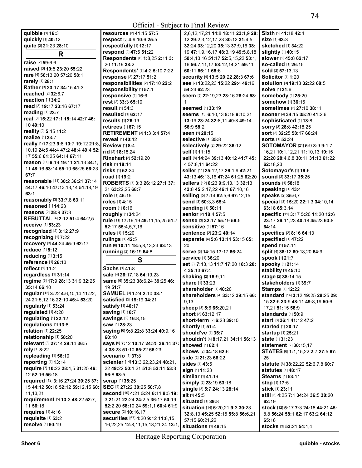## Official - Subject to Final Review

**quibble** [1] **16:**3 **quickly** [1] **40:**12 **quite** [2] **21:**23 **28:**10 **R raise** [2] **59:**6,6 **raised** [3] **19:**5 **23:**20 **55:**22 **rare** [4] **56:**13,20 **57:**20 **58:**1 **rarely** [1] **28:**1 **Rather** [3] **23:**17 **34:**15 **41:**3 **reached** [2] **32:**6,7 **reaction** [1] **34:**2 **read** [3] **19:**17 **23:**16 **67:**17 **reading** [1] **23:**7 **real** [6] **15:**22 **17:**1 **18:**14 **42:**7 **46:**  10 **49:**10 **reality** [2] **5:**15 **11:**2 **realize** [1] **23:**7 **really** [17] **7:**23 **9:**8 **10:**7 **19:**12 **21:**8, 10,19 **24:**5 **44:**4 **47:**2 **48:**4 **49:**4 **52:**  17 **55:**6 **61:**25 **64:**14 **67:**11 **reason** [11] **6:**19 **19:**11 **21:**13 **34:**1, 11 **48:**16 **53:**14 **55:**10 **65:**25 **66:**23 **67:**7 **reasonable** [11] **30:**2 **36:**21 **37:**14 **44:**17 **46:**10 **47:**13,13,14 **51:**18,19 **63:**1 **reasonably** [3] **33:**7,8 **63:**11 **reasoned** [1] **14:**23 **reasons** [2] **28:**9 **37:**3 **REBUTTAL** [4] **2:**12 **51:**4 **64:**2,5 **receive** [1] **53:**23 **recognized** [2] **3:**12 **27:**9 **recognizing** [1] **7:**22 **recovery** [3] **44:**24 **45:**9 **62:**17 **reduce** [1] **8:**12 **reducing** [1] **3:**15 **reference** [1] **26:**13 **reflect** [1] **11:**2 **regardless** [1] **31:**14 **regime** [6] **17:**9 **28:**13 **31:**9 **32:**25 **35:**14 **66:**10 **regular** [12] **3:**22 **4:**6,10,14 **11:**22, 24 **21:**5,12,16 **22:**10 **45:**4 **53:**20 **regularly** [1] **53:**24 **regulated** [1] **4:**20 **regulating** [1] **22:**12 **regulations** [1] **13:**8 **relation** [1] **22:**25 **relationship** [1] **58:**20 **relevant** [3] **27:**14 **29:**14 **36:**5 **rely** [1] **8:**22 **repleading** [1] **56:**10 **reporting** [1] **13:**14 **require** [7] **10:**22 **28:**1,5 **31:**25 **46:**  12 **52:**16 **56:**18 **required** [12] **3:**16 **27:**24 **30:**25 **37:**  15 **44:**12 **50:**16 **52:**12 **59:**12,15 **60:**  11,13,21 **requirement** [5] **13:**3 **48:**22 **52:**7, 11 **56:**18 **requires** [1] **4:**16 **requisite** [1] **53:**2 **resolve** [1] **60:**19 **60:**10

**resources** [2] **41:**15 **57:**5 **respect** [3] **4:**9 **10:**6 **25:**5 **respectfully** [1] **12:**17 **respond** [2] **47:**5 **51:**22 **Respondents** [6] **1:**8,25 **2:**11 **3:**  20 **11:**19 **38:**2 **Respondents'** [3] **4:**2 **5:**10 **7:**22 **response** [2] **27:**17 **51:**2 **responsibilities** [2] **17:**10 **22:**2 **responsibility** [1] **57:**1 **responsive** [1] **16:**6 **rest** [2] **33:**3 **65:**10 **result** [1] **54:**3 **resulted** [1] **62:**17 **results** [1] **26:**19 **retirees** [1] **67:**15 **RETIREMENT** [3] **1:**3 **3:**4 **57:**4 **reveal** [1] **40:**12 **Review** [1] **8:**4 **rid** [2] **18:**18,24 **Rinehart** [2] **52:**19,20 **risk** [1] **18:**14 **risks** [1] **52:**24 **road** [1] **19:**2 **ROBERTS** [7] **3:**3 **26:**12 **27:**1 **37:**  21 **63:**22,25 **68:**7 **role** [1] **45:**15 **roles** [1] **4:**15 **room** [1] **6:**16 **roughly** [1] **34:**24 **rule** [11] **17:**16,19 **49:**11,15,25 **51:**7 **52:**17 **55:**4,5,7,16 **rules** [1] **15:**20 **rulings** [1] **42:**5 **run** [6] **10:**11 **18:**5,8,13,23 **63:**13 **running** [2] **16:**19 **64:**8 **S Sachs** [1] **41:**8 **sale** [4] **26:**17,18 **64:**19,23 **same** [6] **35:**23 **38:**6,24 **39:**25 **46:**  19 **51:**7 **SAMUEL** [3] **1:**24 **2:**10 **38:**1 **satisfied** [2] **19:**19 **34:**21 **satisfy** [1] **40:**17 **saving** [1] **18:**7 **savings** [2] **16:**8,15 **saw** [1] **28:**23 **saying** [6] **9:**8 **22:**8 **33:**24 **40:**9,16 **says** [9] **7:**12 **10:**17 **24:**25 **36:**14 **37:**  4 **38:**23 **51:**10 **65:**22 **66:**23 **scenario** [1] **37:**8 **scienter** [14] **13:**3,22,23,24 **48:**21, 22 **49:**22 **50:**1,21 **51:**8 **52:**11 **53:**3 **56:**8 **68:**5 **scrap** [1] **35:**25 **SEC** [4] **27:**22 **30:**25 **50:**7,8 **second** [19] **4:**21 **5:**24 **6:**11 **8:**5 **19:**  3 **21:**21 **22:**24 **24:**2,5 **36:**17 **50:**19 **52:**2,20 **58:**10,24 **59:**1,1 **60:**4 **61:**9 **secure** [2] **10:**16,17 **securities** [67] **4:**20 **9:**12 **11:**8,15, 16,22,25 **12:**8,11,15,18,21,24 **13:**1,

2,6,12,17,21 **14:**8 **18:**11 **23:**1,9 **28:**  12 **29:**2,3,12,17,23 **30:**12 **31:**4,5 **32:**24 **33:**12,20 **35:**13 **37:**9,16 **38:**  19 **47:**1,9,16,17 **48:**3,19 **49:**5,8,18 **50:**4,13,16 **51:**17 **52:**5,15,22 **53:**1, 16 **56:**7,11,17 **58:**12,14,21 **59:**11 **60:**11 **66:**11 **68:**6 **security** [4] **13:**5 **20:**22 **28:**3 **67:**6 **see** [7] **13:**22,23 **15:**22 **29:**4 **49:**16 **54:**24 **62:**23 **seem** [5] **22:**19,23 **23:**16 **28:**24 **58:**  1 **seemed** [1] **33:**19 **seems** [13] **6:**10,13 **8:**18 **9:**10,21 **13:**19 **23:**24 **32:**8,11 **40:**8 **49:**14 **56:**9 **58:**2 **seen** [1] **20:**15 **selective** [1] **35:**8 **selectively** [2] **29:**22 **36:**12 **self** [1] **11:**15 **sell** [8] **14:**24 **39:**13 **40:**12 **41:**7 **45:**  4 **57:**8,11 **64:**22 **seller** [11] **25:**12,17 **26:**1,9 **42:**21 **43:**13 **46:**13,16 **47:**24 **61:**25 **62:**20 **sellers** [12] **6:**23 **9:**9,13,13 **32:**13 **42:**8 **45:**2,17,22 **46:**1 **67:**10,16 **selling** [5] **7:**14 **62:**5,6 **67:**12,15 **send** [3] **60:**3,3 **65:**4 **sending** [1] **50:**11 **senior** [2] **18:**4 **57:**5 **sense** [3] **32:**17 **55:**19 **56:**5 **sensitive** [1] **57:**16 **sentence** [2] **23:**2 **40:**14 **separate** [4] **5:**6 **13:**14 **53:**15 **65:**  20 **serve** [3] **14:**15 **17:**17 **66:**24 **service** [1] **36:**20 **set** [8] **7:**13,13 **11:**7 **17:**20 **18:**3 **20:**  4 **35:**13 **67:**4 **shaking** [2] **16:**9,11 **share** [1] **33:**23 **shareholder** [1] **40:**20 **shareholders** [4] **33:**12 **39:**15 **66:**  9,13 **sheep** [3] **5:**6 **65:**20,21 **short** [2] **63:**12,17 **short-term** [2] **6:**23 **39:**10 **shortly** [1] **51:**4 **should've** [1] **35:**7 **shouldn't** [4] **8:**17,21 **34:**11 **56:**13 **showed** [1] **62:**4 **shows** [2] **34:**18 **62:**6 **side** [2] **21:**23 **66:**22 **sides** [1] **43:**5 **sign** [1] **11:**23 **similar** [1] **41:**19 **simply** [2] **23:**19 **53:**18 **single** [3] **5:**7 **24:**13 **28:**14 **sit** [1] **45:**5 **situated** [1] **39:**8 **situation** [14] **6:**20,21 **9:**3 **30:**23 **32:**8,13 **45:**25 **52:**15 **55:**8 **56:**6,21 **57:**15 **60:**21,22 **situations** [1] **48:**15  $25$ 

**Sixth** [2] **41:**18 **42:**4 **size** [1] **63:**3 **sketched** [1] **34:**22 **slightly** [1] **40:**15 **slower** [2] **45:**8 **62:**17 **so-called** [1] **26:**15 **sold** [2] **57:**13,13 **Solicitor** [1] **1:**20 **solution** [3] **19:**13 **32:**22 **68:**5 **solve** [1] **21:**6 **somebody** [1] **25:**20 **somehow** [1] **36:**16 **sometimes** [2] **27:**10 **38:**11 **sooner** [4] **34:**15 **35:**20 **41:**2,6 **sophisticated** [1] **18:**8 **sorry** [3] **28:**8 **42:**18,25 **sort** [3] **32:**25 **58:**17 **66:**24 **sorts** [1] **53:**24 **SOTOMAYOR** [21] **5:**9 **8:**9 **9:**1,7, 16,21 **10:**1,12,21 **11:**10,13 **19:**15 **22:**20 **28:**4,6,8 **30:**11 **31:**13 **61:**22 **62:**18,23 **Sotomayor's** [1] **19:**6 **sound** [2] **33:**17 **35:**25 **sounds** [1] **58:**18 **speaking** [1] **43:**4 **speaks** [2] **35:**6,7 **special** [8] **15:**20 **22:**1,3 **34:**10,14 **63:**18 **65:**3,14 **specific** [11] **3:**17 **5:**20 **11:**20 **12:**6 **23:**17 **26:**11,23 **40:**18 **45:**23 **63:**8 **64:**14 **specifics** [2] **8:**16 **64:**13 **specified** [1] **47:**22 **spend** [1] **57:**11 **split** [4] **38:**12 **60:**18,20 **64:**9 **spook** [1] **21:**7 **spooky** [1] **21:**14 **stability** [1] **45:**10 **stage** [2] **38:**14,15 **stakeholders** [1] **39:**7 **Stamps** [1] **12:**22 **standard** [14] **3:**12 **19:**25 **28:**25 **29:**  15 **32:**5 **33:**9 **48:**11 **49:**8,19 **50:**6, 17,21 **51:**15 **58:**9 **standards** [1] **50:**9 **start** [3] **36:**1 **41:**12 **47:**2 **started** [1] **20:**17 **startup** [1] **25:**21 **state** [1] **31:**23 **statement** [2] **30:**15,17 **STATES** [6] **1:**1,15,22 **2:**7 **27:**5 **67: statute** [6] **38:**22,22 **52:**6,7,8 **60:**7 **statutes** [1] **48:**17 **Stearns** [1] **53:**11 **step** [1] **17:**5 **stick** [1] **23:**11 **still** [6] **4:**25 **7:**1 **34:**24 **36:**5 **38:**20 **62:**19 **stock** [12] **5:**17 **7:**3 **24:**18 **44:**21 **45:**  8,8 **56:**24 **58:**1 **62:**17 **63:**2 **64:**12 **65:**18 **stocks** [3] **53:**21 **54:**1,4